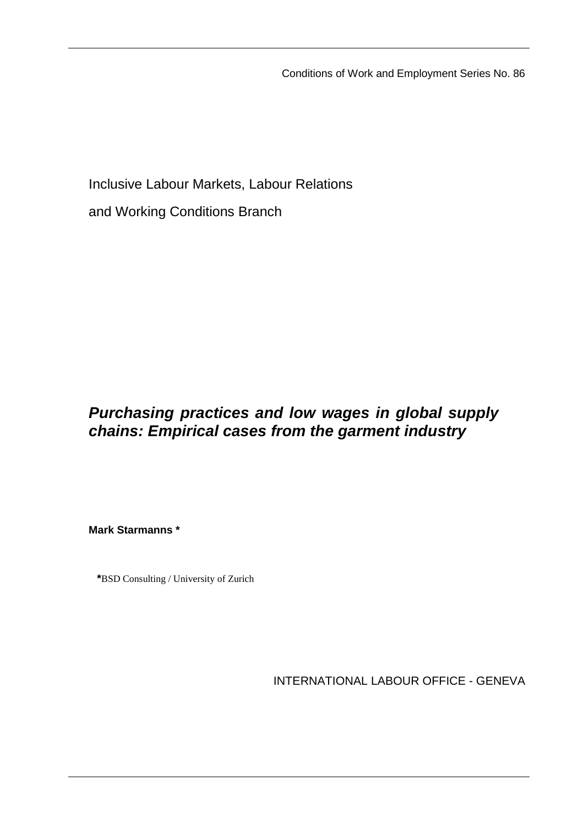Conditions of Work and Employment Series No. 86

Inclusive Labour Markets, Labour Relations

and Working Conditions Branch

# *Purchasing practices and low wages in global supply chains: Empirical cases from the garment industry*

**Mark Starmanns \*** 

**\***BSD Consulting / University of Zurich

INTERNATIONAL LABOUR OFFICE - GENEVA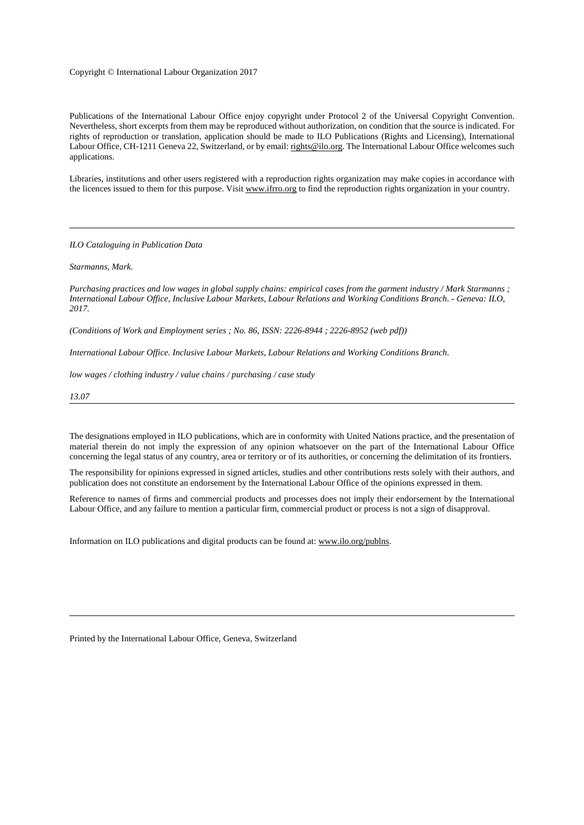#### Copyright © International Labour Organization 2017

Publications of the International Labour Office enjoy copyright under Protocol 2 of the Universal Copyright Convention. Nevertheless, short excerpts from them may be reproduced without authorization, on condition that the source is indicated. For rights of reproduction or translation, application should be made to ILO Publications (Rights and Licensing), International Labour Office, CH-1211 Geneva 22, Switzerland, or by email: rights@ilo.org. The International Labour Office welcomes such applications.

Libraries, institutions and other users registered with a reproduction rights organization may make copies in accordance with the licences issued to them for this purpose. Visit www.ifrro.org to find the reproduction rights organization in your country.

*ILO Cataloguing in Publication Data* 

#### *Starmanns, Mark.*

*Purchasing practices and low wages in global supply chains: empirical cases from the garment industry / Mark Starmanns ; International Labour Office, Inclusive Labour Markets, Labour Relations and Working Conditions Branch. - Geneva: ILO, 2017.* 

*(Conditions of Work and Employment series ; No. 86, ISSN: 2226-8944 ; 2226-8952 (web pdf))* 

*International Labour Office. Inclusive Labour Markets, Labour Relations and Working Conditions Branch.* 

*low wages / clothing industry / value chains / purchasing / case study* 

*13.07*

The designations employed in ILO publications, which are in conformity with United Nations practice, and the presentation of material therein do not imply the expression of any opinion whatsoever on the part of the International Labour Office concerning the legal status of any country, area or territory or of its authorities, or concerning the delimitation of its frontiers.

The responsibility for opinions expressed in signed articles, studies and other contributions rests solely with their authors, and publication does not constitute an endorsement by the International Labour Office of the opinions expressed in them.

Reference to names of firms and commercial products and processes does not imply their endorsement by the International Labour Office, and any failure to mention a particular firm, commercial product or process is not a sign of disapproval.

Information on ILO publications and digital products can be found at: www.ilo.org/publns.

Printed by the International Labour Office, Geneva, Switzerland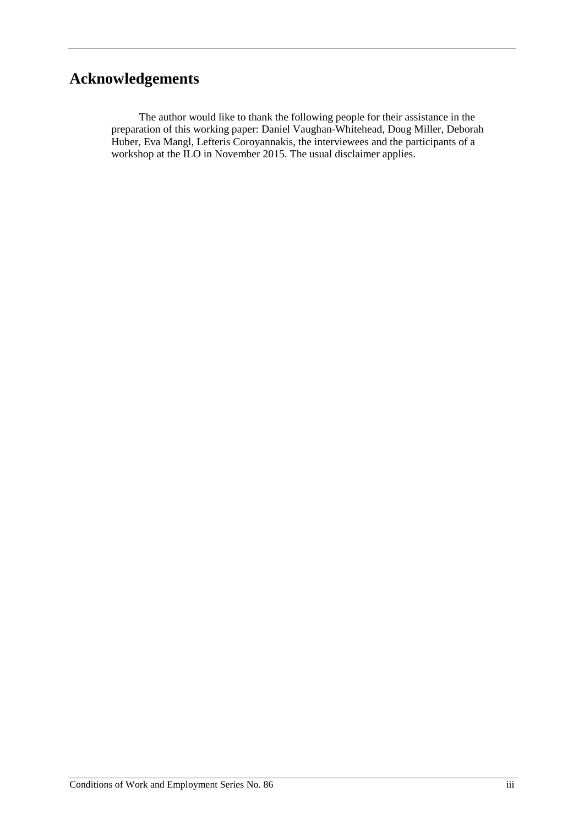# <span id="page-2-0"></span>**Acknowledgements**

The author would like to thank the following people for their assistance in the preparation of this working paper: Daniel Vaughan-Whitehead, Doug Miller, Deborah Huber, Eva Mangl, Lefteris Coroyannakis, the interviewees and the participants of a workshop at the ILO in November 2015. The usual disclaimer applies.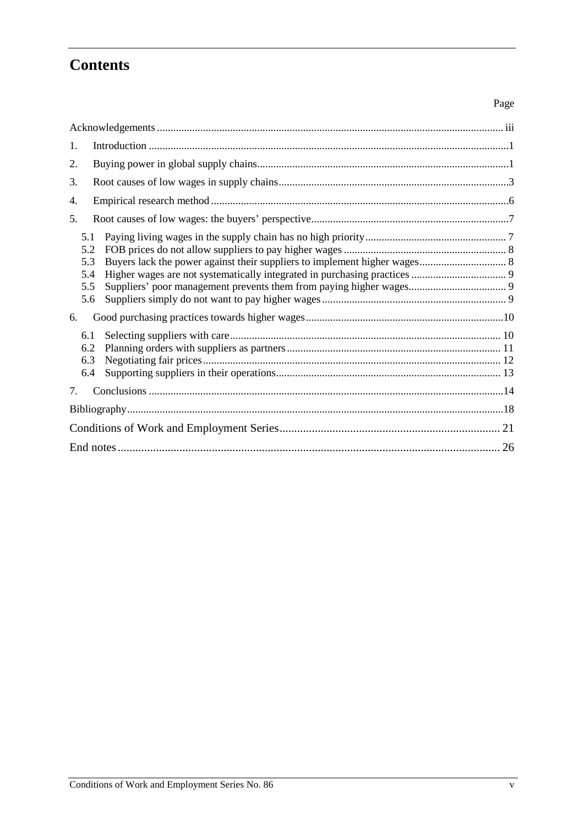# **Contents**

| 1.                                     |
|----------------------------------------|
| 2.                                     |
| 3.                                     |
| 4.                                     |
| 5.                                     |
| 5.1<br>5.2<br>5.3<br>5.4<br>5.5<br>5.6 |
| 6.                                     |
| 6.1<br>6.2<br>6.3<br>6.4               |
| 7.                                     |
|                                        |
|                                        |
| 26                                     |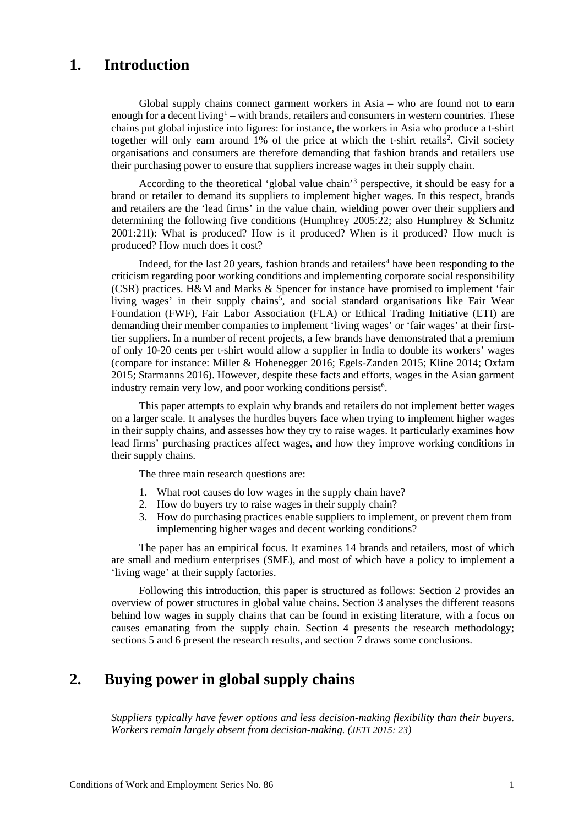## <span id="page-4-0"></span>**1. Introduction**

Global supply chains connect garment workers in Asia – who are found not to earn enough for a decent living<sup>1</sup> – with brands, retailers and consumers in western countries. These chains put global injustice into figures: for instance, the workers in Asia who produce a t-shirt together will only earn around 1% of the price at which the t-shirt retails<sup>[2](#page-29-1)</sup>. Civil society organisations and consumers are therefore demanding that fashion brands and retailers use their purchasing power to ensure that suppliers increase wages in their supply chain.

According to the theoretical 'global value chain'[3](#page-29-2) perspective, it should be easy for a brand or retailer to demand its suppliers to implement higher wages. In this respect, brands and retailers are the 'lead firms' in the value chain, wielding power over their suppliers and determining the following five conditions (Humphrey 2005:22; also Humphrey & Schmitz 2001:21f): What is produced? How is it produced? When is it produced? How much is produced? How much does it cost?

Indeed, for the last 20 years, fashion brands and retailers<sup>[4](#page-29-3)</sup> have been responding to the criticism regarding poor working conditions and implementing corporate social responsibility (CSR) practices. H&M and Marks & Spencer for instance have promised to implement 'fair living wages' in their supply chains<sup>5</sup>, and social standard organisations like Fair Wear Foundation (FWF), Fair Labor Association (FLA) or Ethical Trading Initiative (ETI) are demanding their member companies to implement 'living wages' or 'fair wages' at their firsttier suppliers. In a number of recent projects, a few brands have demonstrated that a premium of only 10-20 cents per t-shirt would allow a supplier in India to double its workers' wages (compare for instance: Miller & Hohenegger 2016; Egels-Zanden 2015; Kline 2014; Oxfam 2015; Starmanns 2016). However, despite these facts and efforts, wages in the Asian garment industry remain very low, and poor working conditions persist<sup>[6](#page-29-5)</sup>.

This paper attempts to explain why brands and retailers do not implement better wages on a larger scale. It analyses the hurdles buyers face when trying to implement higher wages in their supply chains, and assesses how they try to raise wages. It particularly examines how lead firms' purchasing practices affect wages, and how they improve working conditions in their supply chains.

The three main research questions are:

- 1. What root causes do low wages in the supply chain have?
- 2. How do buyers try to raise wages in their supply chain?
- 3. How do purchasing practices enable suppliers to implement, or prevent them from implementing higher wages and decent working conditions?

The paper has an empirical focus. It examines 14 brands and retailers, most of which are small and medium enterprises (SME), and most of which have a policy to implement a 'living wage' at their supply factories.

Following this introduction, this paper is structured as follows: Section 2 provides an overview of power structures in global value chains. Section 3 analyses the different reasons behind low wages in supply chains that can be found in existing literature, with a focus on causes emanating from the supply chain. Section 4 presents the research methodology; sections 5 and 6 present the research results, and section 7 draws some conclusions.

## <span id="page-4-1"></span>**2. Buying power in global supply chains**

*Suppliers typically have fewer options and less decision-making flexibility than their buyers. Workers remain largely absent from decision-making. (JETI 2015: 23)*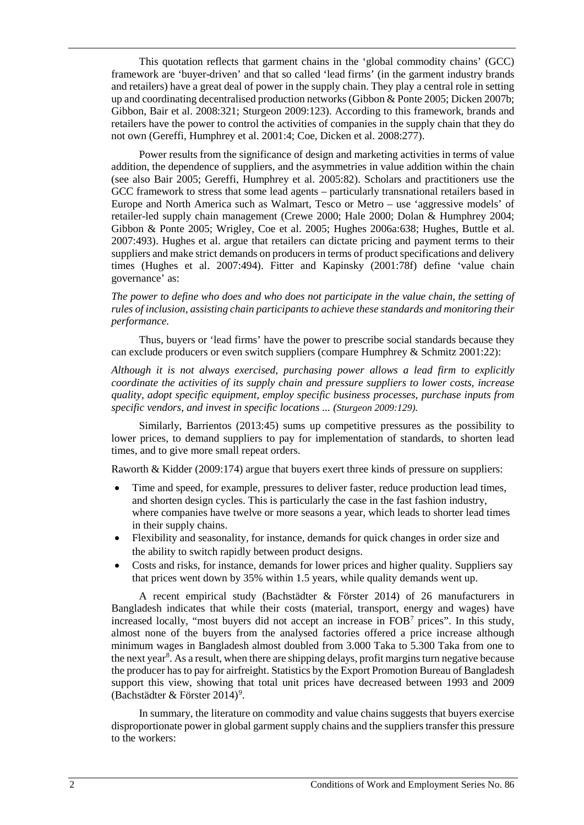This quotation reflects that garment chains in the 'global commodity chains' (GCC) framework are 'buyer-driven' and that so called 'lead firms' (in the garment industry brands and retailers) have a great deal of power in the supply chain. They play a central role in setting up and coordinating decentralised production networks (Gibbon & Ponte 2005; Dicken 2007b; Gibbon, Bair et al. 2008:321; Sturgeon 2009:123). According to this framework, brands and retailers have the power to control the activities of companies in the supply chain that they do not own (Gereffi, Humphrey et al. 2001:4; Coe, Dicken et al. 2008:277).

Power results from the significance of design and marketing activities in terms of value addition, the dependence of suppliers, and the asymmetries in value addition within the chain (see also Bair 2005; Gereffi, Humphrey et al. 2005:82). Scholars and practitioners use the GCC framework to stress that some lead agents – particularly transnational retailers based in Europe and North America such as Walmart, Tesco or Metro – use 'aggressive models' of retailer-led supply chain management (Crewe 2000; Hale 2000; Dolan & Humphrey 2004; Gibbon & Ponte 2005; Wrigley, Coe et al. 2005; Hughes 2006a:638; Hughes, Buttle et al. 2007:493). Hughes et al. argue that retailers can dictate pricing and payment terms to their suppliers and make strict demands on producers in terms of product specifications and delivery times (Hughes et al. 2007:494). Fitter and Kapinsky (2001:78f) define 'value chain governance' as:

*The power to define who does and who does not participate in the value chain, the setting of rules of inclusion, assisting chain participants to achieve these standards and monitoring their performance.* 

Thus, buyers or 'lead firms' have the power to prescribe social standards because they can exclude producers or even switch suppliers (compare Humphrey & Schmitz 2001:22):

*Although it is not always exercised, purchasing power allows a lead firm to explicitly coordinate the activities of its supply chain and pressure suppliers to lower costs, increase quality, adopt specific equipment, employ specific business processes, purchase inputs from specific vendors, and invest in specific locations ... (Sturgeon 2009:129).* 

Similarly, Barrientos (2013:45) sums up competitive pressures as the possibility to lower prices, to demand suppliers to pay for implementation of standards, to shorten lead times, and to give more small repeat orders.

Raworth & Kidder (2009:174) argue that buyers exert three kinds of pressure on suppliers:

- Time and speed, for example, pressures to deliver faster, reduce production lead times, and shorten design cycles. This is particularly the case in the fast fashion industry, where companies have twelve or more seasons a year, which leads to shorter lead times in their supply chains.
- Flexibility and seasonality, for instance, demands for quick changes in order size and the ability to switch rapidly between product designs.
- Costs and risks, for instance, demands for lower prices and higher quality. Suppliers say that prices went down by 35% within 1.5 years, while quality demands went up.

A recent empirical study (Bachstädter & Förster 2014) of 26 manufacturers in Bangladesh indicates that while their costs (material, transport, energy and wages) have increased locally, "most buyers did not accept an increase in  $FOB<sup>7</sup>$  $FOB<sup>7</sup>$  $FOB<sup>7</sup>$  prices". In this study, almost none of the buyers from the analysed factories offered a price increase although minimum wages in Bangladesh almost doubled from 3.000 Taka to 5.300 Taka from one to the next year<sup>8</sup>. As a result, when there are shipping delays, profit margins turn negative because the producer has to pay for airfreight. Statistics by the Export Promotion Bureau of Bangladesh support this view, showing that total unit prices have decreased between 1993 and 2009 (Bachstädter & Förster 2014)<sup>[9](#page-29-8)</sup>.

In summary, the literature on commodity and value chains suggests that buyers exercise disproportionate power in global garment supply chains and the suppliers transfer this pressure to the workers: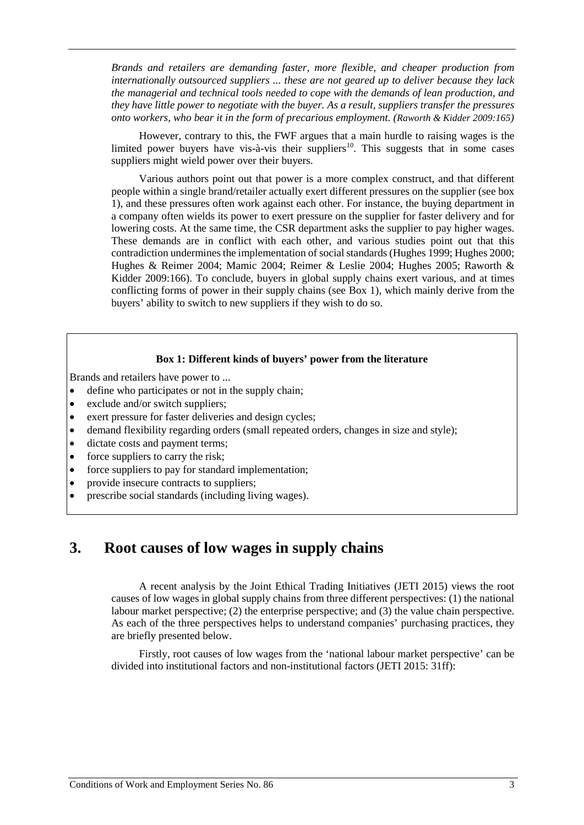*Brands and retailers are demanding faster, more flexible, and cheaper production from internationally outsourced suppliers ... these are not geared up to deliver because they lack the managerial and technical tools needed to cope with the demands of lean production, and they have little power to negotiate with the buyer. As a result, suppliers transfer the pressures onto workers, who bear it in the form of precarious employment. (Raworth & Kidder 2009:165)* 

However, contrary to this, the FWF argues that a main hurdle to raising wages is the limited power buyers have vis-à-vis their suppliers<sup>[10](#page-29-9)</sup>. This suggests that in some cases suppliers might wield power over their buyers.

Various authors point out that power is a more complex construct, and that different people within a single brand/retailer actually exert different pressures on the supplier (see box 1), and these pressures often work against each other. For instance, the buying department in a company often wields its power to exert pressure on the supplier for faster delivery and for lowering costs. At the same time, the CSR department asks the supplier to pay higher wages. These demands are in conflict with each other, and various studies point out that this contradiction undermines the implementation of social standards(Hughes 1999; Hughes 2000; Hughes & Reimer 2004; Mamic 2004; Reimer & Leslie 2004; Hughes 2005; Raworth & Kidder 2009:166). To conclude, buyers in global supply chains exert various, and at times conflicting forms of power in their supply chains (see Box 1), which mainly derive from the buyers' ability to switch to new suppliers if they wish to do so.

#### **Box 1: Different kinds of buyers' power from the literature**

Brands and retailers have power to ...

- define who participates or not in the supply chain;
- exclude and/or switch suppliers;
- exert pressure for faster deliveries and design cycles;
- demand flexibility regarding orders (small repeated orders, changes in size and style);
- dictate costs and payment terms;
- force suppliers to carry the risk;
- force suppliers to pay for standard implementation;
- provide insecure contracts to suppliers;
- <span id="page-6-0"></span>• prescribe social standards (including living wages).

## **3. Root causes of low wages in supply chains**

A recent analysis by the Joint Ethical Trading Initiatives (JETI 2015) views the root causes of low wages in global supply chains from three different perspectives: (1) the national labour market perspective; (2) the enterprise perspective; and (3) the value chain perspective. As each of the three perspectives helps to understand companies' purchasing practices, they are briefly presented below.

Firstly, root causes of low wages from the 'national labour market perspective' can be divided into institutional factors and non-institutional factors (JETI 2015: 31ff):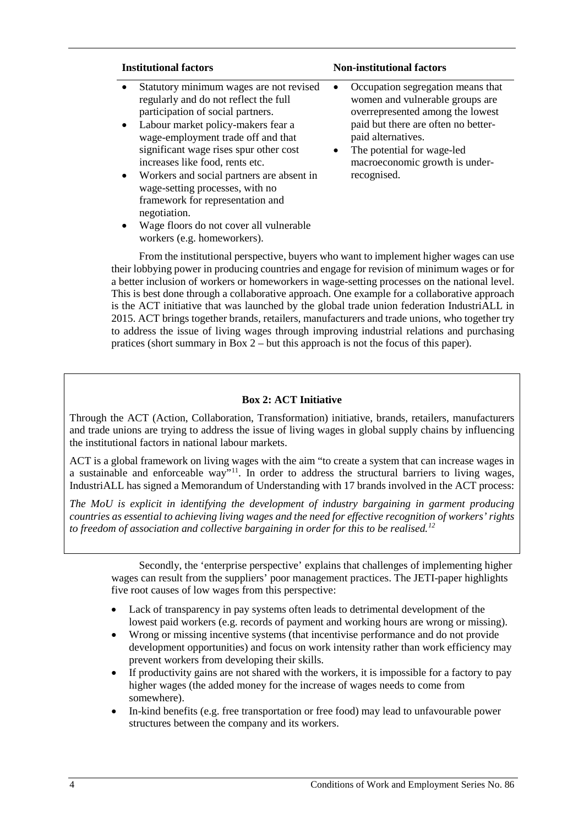- Statutory minimum wages are not revised regularly and do not reflect the full participation of social partners.
- Labour market policy-makers fear a wage-employment trade off and that significant wage rises spur other cost increases like food, rents etc.
- Workers and social partners are absent in wage-setting processes, with no framework for representation and negotiation.
- Wage floors do not cover all vulnerable workers (e.g. homeworkers).

#### **Institutional factors Non-institutional factors**

- Occupation segregation means that women and vulnerable groups are overrepresented among the lowest paid but there are often no betterpaid alternatives.
- The potential for wage-led macroeconomic growth is underrecognised.

From the institutional perspective, buyers who want to implement higher wages can use their lobbying power in producing countries and engage for revision of minimum wages or for a better inclusion of workers or homeworkers in wage-setting processes on the national level. This is best done through a collaborative approach. One example for a collaborative approach is the ACT initiative that was launched by the global trade union federation IndustriALL in 2015. ACT brings together brands, retailers, manufacturers and trade unions, who together try to address the issue of living wages through improving industrial relations and purchasing pratices (short summary in Box 2 – but this approach is not the focus of this paper).

#### **Box 2: ACT Initiative**

Through the ACT (Action, Collaboration, Transformation) initiative, brands, retailers, manufacturers and trade unions are trying to address the issue of living wages in global supply chains by influencing the institutional factors in national labour markets.

ACT is a global framework on living wages with the aim "to create a system that can increase wages in a sustainable and enforceable way"[11](#page-29-10). In order to address the structural barriers to living wages, IndustriALL has signed a Memorandum of Understanding with 17 brands involved in the ACT process:

*The MoU is explicit in identifying the development of industry bargaining in garment producing countries as essential to achieving living wages and the need for effective recognition of workers' rights to freedom of association and collective bargaining in order for this to be realised.[12](#page-29-11)*

Secondly, the 'enterprise perspective' explains that challenges of implementing higher wages can result from the suppliers' poor management practices. The JETI-paper highlights five root causes of low wages from this perspective:

- Lack of transparency in pay systems often leads to detrimental development of the lowest paid workers (e.g. records of payment and working hours are wrong or missing).
- Wrong or missing incentive systems (that incentivise performance and do not provide development opportunities) and focus on work intensity rather than work efficiency may prevent workers from developing their skills.
- If productivity gains are not shared with the workers, it is impossible for a factory to pay higher wages (the added money for the increase of wages needs to come from somewhere).
- In-kind benefits (e.g. free transportation or free food) may lead to unfavourable power structures between the company and its workers.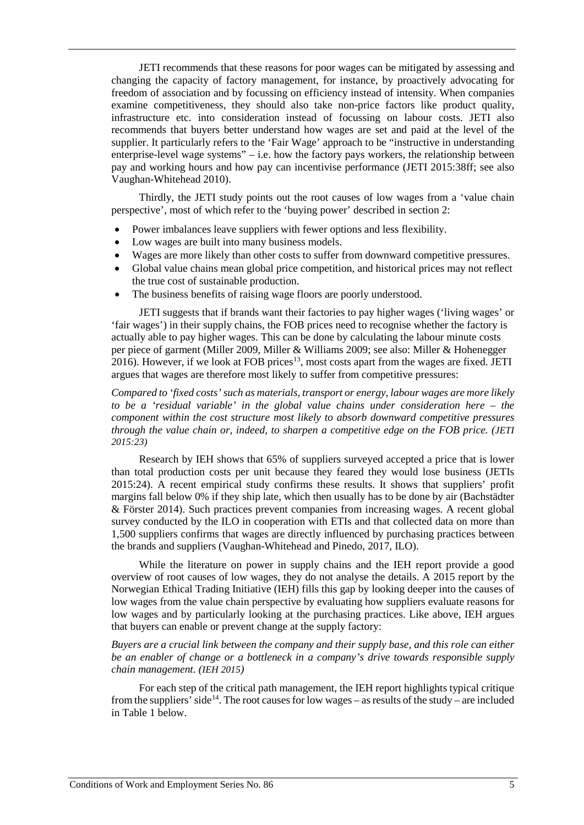JETI recommends that these reasons for poor wages can be mitigated by assessing and changing the capacity of factory management, for instance, by proactively advocating for freedom of association and by focussing on efficiency instead of intensity. When companies examine competitiveness, they should also take non-price factors like product quality, infrastructure etc. into consideration instead of focussing on labour costs. JETI also recommends that buyers better understand how wages are set and paid at the level of the supplier. It particularly refers to the 'Fair Wage' approach to be "instructive in understanding enterprise-level wage systems" – i.e. how the factory pays workers, the relationship between pay and working hours and how pay can incentivise performance (JETI 2015:38ff; see also Vaughan-Whitehead 2010).

Thirdly, the JETI study points out the root causes of low wages from a 'value chain perspective', most of which refer to the 'buying power' described in section 2:

- Power imbalances leave suppliers with fewer options and less flexibility.
- Low wages are built into many business models.
- Wages are more likely than other costs to suffer from downward competitive pressures.
- Global value chains mean global price competition, and historical prices may not reflect the true cost of sustainable production.
- The business benefits of raising wage floors are poorly understood.

JETI suggests that if brands want their factories to pay higher wages ('living wages' or 'fair wages') in their supply chains, the FOB prices need to recognise whether the factory is actually able to pay higher wages. This can be done by calculating the labour minute costs per piece of garment (Miller 2009, Miller & Williams 2009; see also: Miller & Hohenegger  $2016$ ). However, if we look at FOB prices<sup>13</sup>, most costs apart from the wages are fixed. JETI argues that wages are therefore most likely to suffer from competitive pressures:

*Compared to 'fixed costs' such as materials, transport or energy, labour wages are more likely to be a 'residual variable' in the global value chains under consideration here – the component within the cost structure most likely to absorb downward competitive pressures through the value chain or, indeed, to sharpen a competitive edge on the FOB price. (JETI 2015:23)*

Research by IEH shows that 65% of suppliers surveyed accepted a price that is lower than total production costs per unit because they feared they would lose business (JETIs 2015:24). A recent empirical study confirms these results. It shows that suppliers' profit margins fall below 0% if they ship late, which then usually has to be done by air (Bachstädter & Förster 2014). Such practices prevent companies from increasing wages. A recent global survey conducted by the ILO in cooperation with ETIs and that collected data on more than 1,500 suppliers confirms that wages are directly influenced by purchasing practices between the brands and suppliers (Vaughan-Whitehead and Pinedo, 2017, ILO).

While the literature on power in supply chains and the IEH report provide a good overview of root causes of low wages, they do not analyse the details. A 2015 report by the Norwegian Ethical Trading Initiative (IEH) fills this gap by looking deeper into the causes of low wages from the value chain perspective by evaluating how suppliers evaluate reasons for low wages and by particularly looking at the purchasing practices. Like above, IEH argues that buyers can enable or prevent change at the supply factory:

*Buyers are a crucial link between the company and their supply base, and this role can either be an enabler of change or a bottleneck in a company's drive towards responsible supply chain management. (IEH 2015)*

For each step of the critical path management, the IEH report highlights typical critique from the suppliers' side<sup>[14](#page-29-13)</sup>. The root causes for low wages – as results of the study – are included in Table 1 below.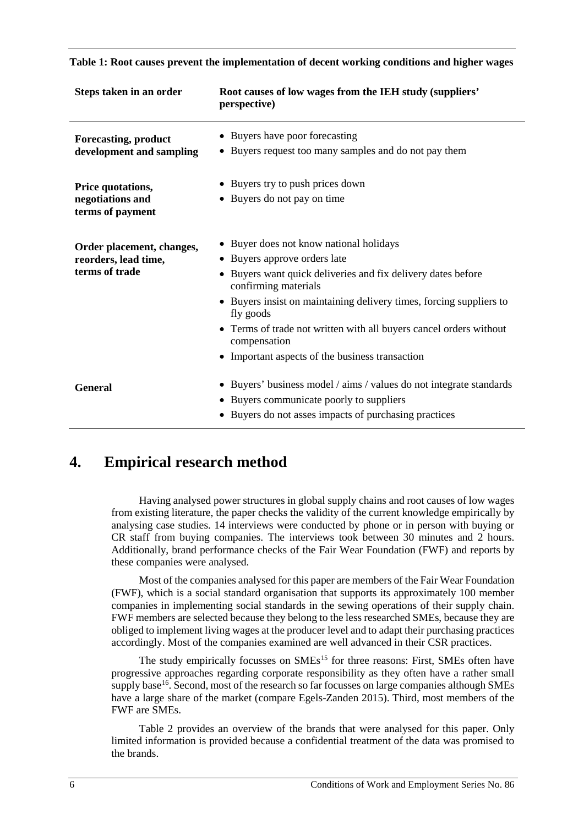| Steps taken in an order                                             | Root causes of low wages from the IEH study (suppliers'<br>perspective)                                                                                                                                                                                                                                                                                                                    |
|---------------------------------------------------------------------|--------------------------------------------------------------------------------------------------------------------------------------------------------------------------------------------------------------------------------------------------------------------------------------------------------------------------------------------------------------------------------------------|
| <b>Forecasting, product</b><br>development and sampling             | • Buyers have poor forecasting<br>• Buyers request too many samples and do not pay them                                                                                                                                                                                                                                                                                                    |
| Price quotations,<br>negotiations and<br>terms of payment           | • Buyers try to push prices down<br>• Buyers do not pay on time                                                                                                                                                                                                                                                                                                                            |
| Order placement, changes,<br>reorders, lead time,<br>terms of trade | • Buyer does not know national holidays<br>• Buyers approve orders late<br>Buyers want quick deliveries and fix delivery dates before<br>confirming materials<br>• Buyers insist on maintaining delivery times, forcing suppliers to<br>fly goods<br>• Terms of trade not written with all buyers cancel orders without<br>compensation<br>• Important aspects of the business transaction |
| <b>General</b>                                                      | • Buyers' business model / aims / values do not integrate standards<br>Buyers communicate poorly to suppliers<br>Buyers do not asses impacts of purchasing practices                                                                                                                                                                                                                       |

#### **Table 1: Root causes prevent the implementation of decent working conditions and higher wages**

## <span id="page-9-0"></span>**4. Empirical research method**

Having analysed power structures in global supply chains and root causes of low wages from existing literature, the paper checks the validity of the current knowledge empirically by analysing case studies. 14 interviews were conducted by phone or in person with buying or CR staff from buying companies. The interviews took between 30 minutes and 2 hours. Additionally, brand performance checks of the Fair Wear Foundation (FWF) and reports by these companies were analysed.

Most of the companies analysed for this paper are members of the Fair Wear Foundation (FWF), which is a social standard organisation that supports its approximately 100 member companies in implementing social standards in the sewing operations of their supply chain. FWF members are selected because they belong to the less researched SMEs, because they are obliged to implement living wages at the producer level and to adapt their purchasing practices accordingly. Most of the companies examined are well advanced in their CSR practices.

The study empirically focusses on SMEs<sup>[15](#page-29-14)</sup> for three reasons: First, SMEs often have progressive approaches regarding corporate responsibility as they often have a rather small supply base<sup>[16](#page-29-15)</sup>. Second, most of the research so far focusses on large companies although SMEs have a large share of the market (compare Egels-Zanden 2015). Third, most members of the FWF are SMEs.

Table 2 provides an overview of the brands that were analysed for this paper. Only limited information is provided because a confidential treatment of the data was promised to the brands.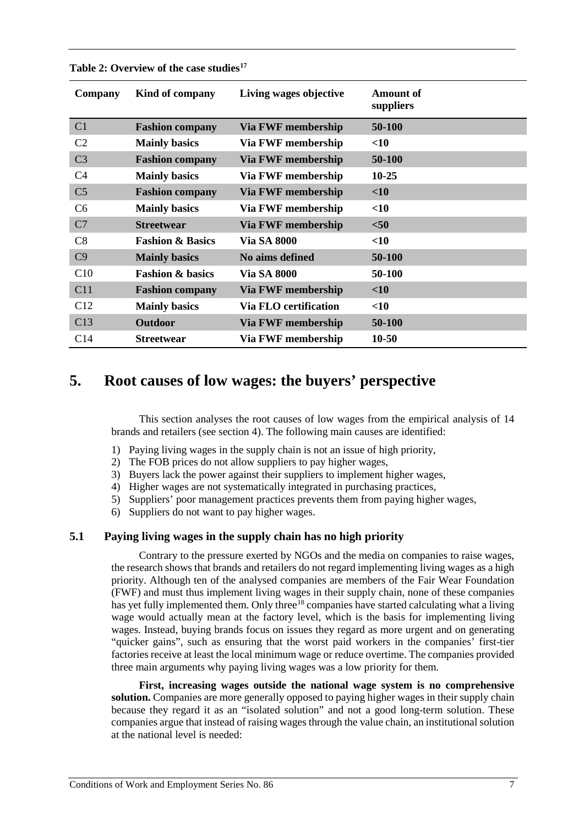| Company        | Kind of company             | Living wages objective       | <b>Amount of</b><br>suppliers |
|----------------|-----------------------------|------------------------------|-------------------------------|
| C <sub>1</sub> | <b>Fashion company</b>      | <b>Via FWF membership</b>    | 50-100                        |
| C <sub>2</sub> | <b>Mainly basics</b>        | Via FWF membership           | $<$ 10                        |
| C <sub>3</sub> | <b>Fashion company</b>      | Via FWF membership           | 50-100                        |
| C <sub>4</sub> | <b>Mainly basics</b>        | Via FWF membership           | $10 - 25$                     |
| C <sub>5</sub> | <b>Fashion company</b>      | <b>Via FWF membership</b>    | $<$ 10                        |
| C <sub>6</sub> | <b>Mainly basics</b>        | Via FWF membership           | $<$ 10                        |
| C7             | <b>Streetwear</b>           | <b>Via FWF membership</b>    | $50$                          |
| C8             | <b>Fashion &amp; Basics</b> | <b>Via SA 8000</b>           | $<$ 10                        |
| C9             | <b>Mainly basics</b>        | No aims defined              | 50-100                        |
| C10            | <b>Fashion &amp; basics</b> | <b>Via SA 8000</b>           | 50-100                        |
| C11            | <b>Fashion company</b>      | <b>Via FWF membership</b>    | $<$ 10                        |
| C12            | <b>Mainly basics</b>        | <b>Via FLO certification</b> | $<$ 10                        |
| C13            | <b>Outdoor</b>              | Via FWF membership           | 50-100                        |
| C14            | <b>Streetwear</b>           | Via FWF membership           | $10 - 50$                     |

#### **Table 2: Overview of the case studies[17](#page-29-16)**

## <span id="page-10-0"></span>**5. Root causes of low wages: the buyers' perspective**

This section analyses the root causes of low wages from the empirical analysis of 14 brands and retailers (see section 4). The following main causes are identified:

- 1) Paying living wages in the supply chain is not an issue of high priority,
- 2) The FOB prices do not allow suppliers to pay higher wages,
- 3) Buyers lack the power against their suppliers to implement higher wages,
- 4) Higher wages are not systematically integrated in purchasing practices,
- 5) Suppliers' poor management practices prevents them from paying higher wages,
- 6) Suppliers do not want to pay higher wages.

#### <span id="page-10-1"></span>**5.1 Paying living wages in the supply chain has no high priority**

Contrary to the pressure exerted by NGOs and the media on companies to raise wages, the research shows that brands and retailers do not regard implementing living wages as a high priority. Although ten of the analysed companies are members of the Fair Wear Foundation (FWF) and must thus implement living wages in their supply chain, none of these companies has yet fully implemented them. Only three<sup>[18](#page-29-17)</sup> companies have started calculating what a living wage would actually mean at the factory level, which is the basis for implementing living wages. Instead, buying brands focus on issues they regard as more urgent and on generating "quicker gains", such as ensuring that the worst paid workers in the companies' first-tier factories receive at least the local minimum wage or reduce overtime. The companies provided three main arguments why paying living wages was a low priority for them.

**First, increasing wages outside the national wage system is no comprehensive**  solution. Companies are more generally opposed to paying higher wages in their supply chain because they regard it as an "isolated solution" and not a good long-term solution. These companies argue that instead of raising wages through the value chain, an institutional solution at the national level is needed: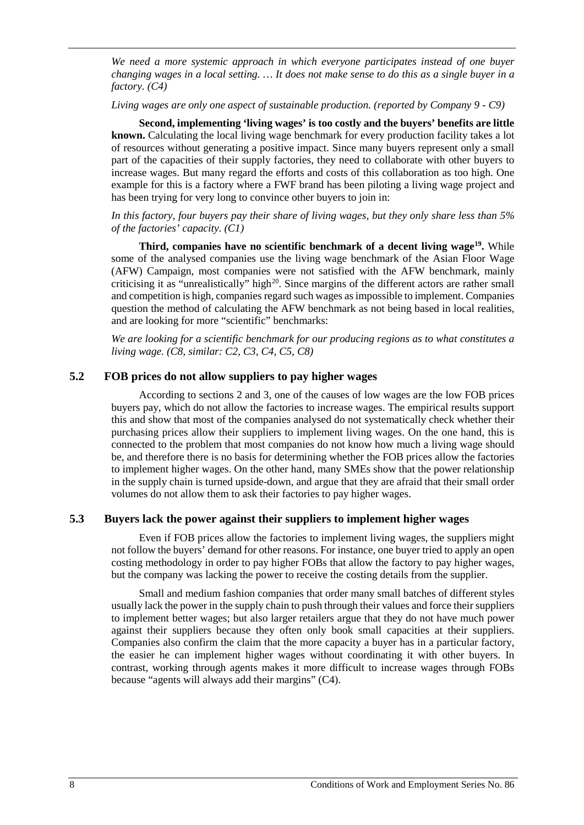*We need a more systemic approach in which everyone participates instead of one buyer changing wages in a local setting. … It does not make sense to do this as a single buyer in a factory. (C4)*

*Living wages are only one aspect of sustainable production. (reported by Company 9 - C9)*

**Second, implementing 'living wages' is too costly and the buyers' benefits are little known.** Calculating the local living wage benchmark for every production facility takes a lot of resources without generating a positive impact. Since many buyers represent only a small part of the capacities of their supply factories, they need to collaborate with other buyers to increase wages. But many regard the efforts and costs of this collaboration as too high. One example for this is a factory where a FWF brand has been piloting a living wage project and has been trying for very long to convince other buyers to join in:

*In this factory, four buyers pay their share of living wages, but they only share less than 5% of the factories' capacity. (C1)* 

**Third, companies have no scientific benchmark of a decent living wage[19](#page-29-18).** While some of the analysed companies use the living wage benchmark of the Asian Floor Wage (AFW) Campaign, most companies were not satisfied with the AFW benchmark, mainly criticising it as "unrealistically" high<sup>[20](#page-29-19)</sup>. Since margins of the different actors are rather small and competition is high, companies regard such wages as impossible to implement. Companies question the method of calculating the AFW benchmark as not being based in local realities, and are looking for more "scientific" benchmarks:

*We are looking for a scientific benchmark for our producing regions as to what constitutes a living wage. (C8, similar: C2, C3, C4, C5, C8)*

#### <span id="page-11-0"></span>**5.2 FOB prices do not allow suppliers to pay higher wages**

According to sections 2 and 3, one of the causes of low wages are the low FOB prices buyers pay, which do not allow the factories to increase wages. The empirical results support this and show that most of the companies analysed do not systematically check whether their purchasing prices allow their suppliers to implement living wages. On the one hand, this is connected to the problem that most companies do not know how much a living wage should be, and therefore there is no basis for determining whether the FOB prices allow the factories to implement higher wages. On the other hand, many SMEs show that the power relationship in the supply chain is turned upside-down, and argue that they are afraid that their small order volumes do not allow them to ask their factories to pay higher wages.

#### <span id="page-11-1"></span>**5.3 Buyers lack the power against their suppliers to implement higher wages**

Even if FOB prices allow the factories to implement living wages, the suppliers might not follow the buyers' demand for other reasons. For instance, one buyer tried to apply an open costing methodology in order to pay higher FOBs that allow the factory to pay higher wages, but the company was lacking the power to receive the costing details from the supplier.

Small and medium fashion companies that order many small batches of different styles usually lack the power in the supply chain to push through their values and force their suppliers to implement better wages; but also larger retailers argue that they do not have much power against their suppliers because they often only book small capacities at their suppliers. Companies also confirm the claim that the more capacity a buyer has in a particular factory, the easier he can implement higher wages without coordinating it with other buyers. In contrast, working through agents makes it more difficult to increase wages through FOBs because "agents will always add their margins" (C4).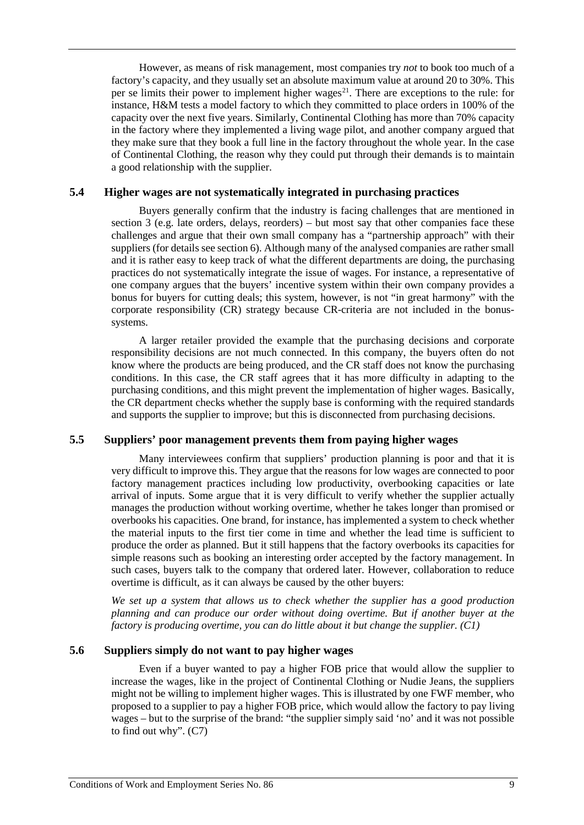However, as means of risk management, most companies try *not* to book too much of a factory's capacity, and they usually set an absolute maximum value at around 20 to 30%. This per se limits their power to implement higher wages<sup>[21](#page-30-0)</sup>. There are exceptions to the rule: for instance, H&M tests a model factory to which they committed to place orders in 100% of the capacity over the next five years. Similarly, Continental Clothing has more than 70% capacity in the factory where they implemented a living wage pilot, and another company argued that they make sure that they book a full line in the factory throughout the whole year. In the case of Continental Clothing, the reason why they could put through their demands is to maintain a good relationship with the supplier.

#### <span id="page-12-0"></span>**5.4 Higher wages are not systematically integrated in purchasing practices**

Buyers generally confirm that the industry is facing challenges that are mentioned in section 3 (e.g. late orders, delays, reorders) – but most say that other companies face these challenges and argue that their own small company has a "partnership approach" with their suppliers (for details see section 6). Although many of the analysed companies are rather small and it is rather easy to keep track of what the different departments are doing, the purchasing practices do not systematically integrate the issue of wages. For instance, a representative of one company argues that the buyers' incentive system within their own company provides a bonus for buyers for cutting deals; this system, however, is not "in great harmony" with the corporate responsibility (CR) strategy because CR-criteria are not included in the bonussystems.

A larger retailer provided the example that the purchasing decisions and corporate responsibility decisions are not much connected. In this company, the buyers often do not know where the products are being produced, and the CR staff does not know the purchasing conditions. In this case, the CR staff agrees that it has more difficulty in adapting to the purchasing conditions, and this might prevent the implementation of higher wages. Basically, the CR department checks whether the supply base is conforming with the required standards and supports the supplier to improve; but this is disconnected from purchasing decisions.

#### <span id="page-12-1"></span>**5.5 Suppliers' poor management prevents them from paying higher wages**

Many interviewees confirm that suppliers' production planning is poor and that it is very difficult to improve this. They argue that the reasons for low wages are connected to poor factory management practices including low productivity, overbooking capacities or late arrival of inputs. Some argue that it is very difficult to verify whether the supplier actually manages the production without working overtime, whether he takes longer than promised or overbooks his capacities. One brand, for instance, has implemented a system to check whether the material inputs to the first tier come in time and whether the lead time is sufficient to produce the order as planned. But it still happens that the factory overbooks its capacities for simple reasons such as booking an interesting order accepted by the factory management. In such cases, buyers talk to the company that ordered later. However, collaboration to reduce overtime is difficult, as it can always be caused by the other buyers:

*We set up a system that allows us to check whether the supplier has a good production planning and can produce our order without doing overtime. But if another buyer at the factory is producing overtime, you can do little about it but change the supplier. (C1)*

#### <span id="page-12-2"></span>**5.6 Suppliers simply do not want to pay higher wages**

Even if a buyer wanted to pay a higher FOB price that would allow the supplier to increase the wages, like in the project of Continental Clothing or Nudie Jeans, the suppliers might not be willing to implement higher wages. This is illustrated by one FWF member, who proposed to a supplier to pay a higher FOB price, which would allow the factory to pay living wages – but to the surprise of the brand: "the supplier simply said 'no' and it was not possible to find out why". (C7)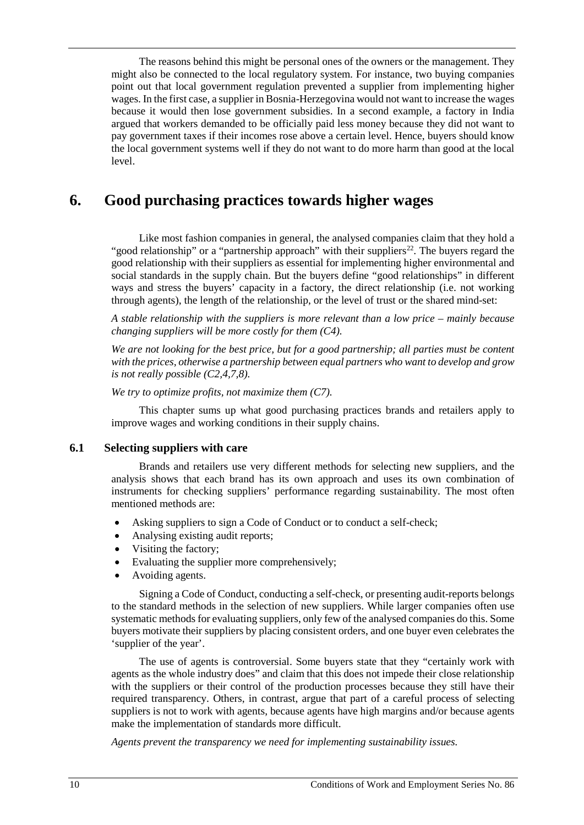The reasons behind this might be personal ones of the owners or the management. They might also be connected to the local regulatory system. For instance, two buying companies point out that local government regulation prevented a supplier from implementing higher wages. In the first case, a supplier in Bosnia-Herzegovina would not want to increase the wages because it would then lose government subsidies. In a second example, a factory in India argued that workers demanded to be officially paid less money because they did not want to pay government taxes if their incomes rose above a certain level. Hence, buyers should know the local government systems well if they do not want to do more harm than good at the local level.

## <span id="page-13-0"></span>**6. Good purchasing practices towards higher wages**

Like most fashion companies in general, the analysed companies claim that they hold a "good relationship" or a "partnership approach" with their suppliers<sup>22</sup>. The buyers regard the good relationship with their suppliers as essential for implementing higher environmental and social standards in the supply chain. But the buyers define "good relationships" in different ways and stress the buyers' capacity in a factory, the direct relationship (i.e. not working through agents), the length of the relationship, or the level of trust or the shared mind-set:

*A stable relationship with the suppliers is more relevant than a low price – mainly because changing suppliers will be more costly for them (C4).* 

*We are not looking for the best price, but for a good partnership; all parties must be content with the prices, otherwise a partnership between equal partners who want to develop and grow is not really possible (C2,4,7,8).* 

*We try to optimize profits, not maximize them (C7).* 

This chapter sums up what good purchasing practices brands and retailers apply to improve wages and working conditions in their supply chains.

#### <span id="page-13-1"></span>**6.1 Selecting suppliers with care**

Brands and retailers use very different methods for selecting new suppliers, and the analysis shows that each brand has its own approach and uses its own combination of instruments for checking suppliers' performance regarding sustainability. The most often mentioned methods are:

- Asking suppliers to sign a Code of Conduct or to conduct a self-check;
- Analysing existing audit reports;
- Visiting the factory;
- Evaluating the supplier more comprehensively;
- Avoiding agents.

Signing a Code of Conduct, conducting a self-check, or presenting audit-reports belongs to the standard methods in the selection of new suppliers. While larger companies often use systematic methods for evaluating suppliers, only few of the analysed companies do this. Some buyers motivate their suppliers by placing consistent orders, and one buyer even celebrates the 'supplier of the year'.

The use of agents is controversial. Some buyers state that they "certainly work with agents as the whole industry does" and claim that this does not impede their close relationship with the suppliers or their control of the production processes because they still have their required transparency. Others, in contrast, argue that part of a careful process of selecting suppliers is not to work with agents, because agents have high margins and/or because agents make the implementation of standards more difficult.

*Agents prevent the transparency we need for implementing sustainability issues.*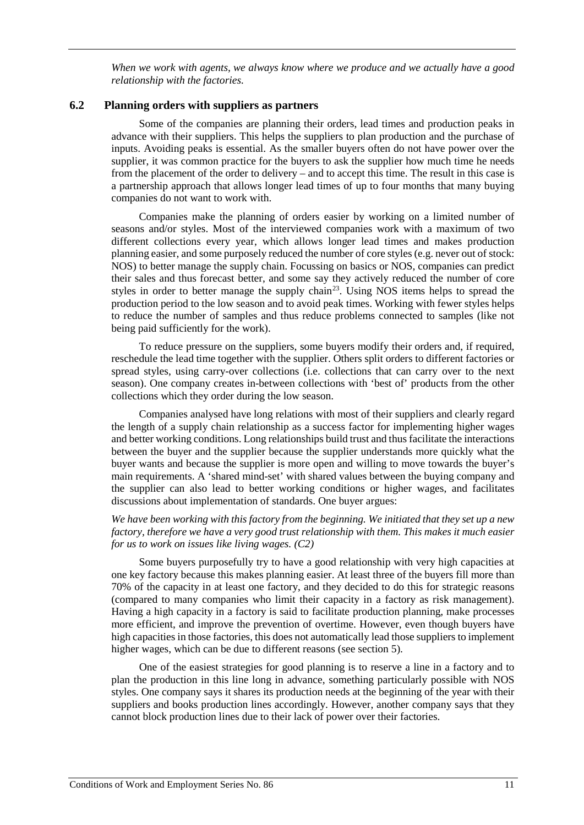*When we work with agents, we always know where we produce and we actually have a good relationship with the factories.* 

#### <span id="page-14-0"></span>**6.2 Planning orders with suppliers as partners**

Some of the companies are planning their orders, lead times and production peaks in advance with their suppliers. This helps the suppliers to plan production and the purchase of inputs. Avoiding peaks is essential. As the smaller buyers often do not have power over the supplier, it was common practice for the buyers to ask the supplier how much time he needs from the placement of the order to delivery – and to accept this time. The result in this case is a partnership approach that allows longer lead times of up to four months that many buying companies do not want to work with.

Companies make the planning of orders easier by working on a limited number of seasons and/or styles. Most of the interviewed companies work with a maximum of two different collections every year, which allows longer lead times and makes production planning easier, and some purposely reduced the number of core styles (e.g. never out of stock: NOS) to better manage the supply chain. Focussing on basics or NOS, companies can predict their sales and thus forecast better, and some say they actively reduced the number of core styles in order to better manage the supply chain<sup>[23](#page-30-2)</sup>. Using NOS items helps to spread the production period to the low season and to avoid peak times. Working with fewer styles helps to reduce the number of samples and thus reduce problems connected to samples (like not being paid sufficiently for the work).

To reduce pressure on the suppliers, some buyers modify their orders and, if required, reschedule the lead time together with the supplier. Others split orders to different factories or spread styles, using carry-over collections (i.e. collections that can carry over to the next season). One company creates in-between collections with 'best of' products from the other collections which they order during the low season.

Companies analysed have long relations with most of their suppliers and clearly regard the length of a supply chain relationship as a success factor for implementing higher wages and better working conditions. Long relationships build trust and thus facilitate the interactions between the buyer and the supplier because the supplier understands more quickly what the buyer wants and because the supplier is more open and willing to move towards the buyer's main requirements. A 'shared mind-set' with shared values between the buying company and the supplier can also lead to better working conditions or higher wages, and facilitates discussions about implementation of standards. One buyer argues:

#### *We have been working with this factory from the beginning. We initiated that they set up a new factory, therefore we have a very good trust relationship with them. This makes it much easier for us to work on issues like living wages. (C2)*

Some buyers purposefully try to have a good relationship with very high capacities at one key factory because this makes planning easier. At least three of the buyers fill more than 70% of the capacity in at least one factory, and they decided to do this for strategic reasons (compared to many companies who limit their capacity in a factory as risk management). Having a high capacity in a factory is said to facilitate production planning, make processes more efficient, and improve the prevention of overtime. However, even though buyers have high capacities in those factories, this does not automatically lead those suppliers to implement higher wages, which can be due to different reasons (see section 5).

One of the easiest strategies for good planning is to reserve a line in a factory and to plan the production in this line long in advance, something particularly possible with NOS styles. One company says it shares its production needs at the beginning of the year with their suppliers and books production lines accordingly. However, another company says that they cannot block production lines due to their lack of power over their factories.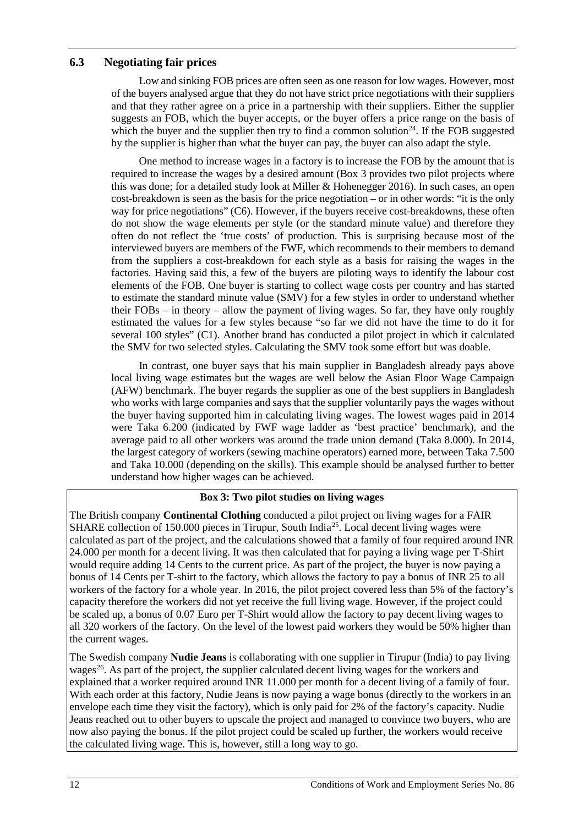### <span id="page-15-0"></span>**6.3 Negotiating fair prices**

Low and sinking FOB prices are often seen as one reason for low wages. However, most of the buyers analysed argue that they do not have strict price negotiations with their suppliers and that they rather agree on a price in a partnership with their suppliers. Either the supplier suggests an FOB, which the buyer accepts, or the buyer offers a price range on the basis of which the buyer and the supplier then try to find a common solution<sup>24</sup>. If the FOB suggested by the supplier is higher than what the buyer can pay, the buyer can also adapt the style.

One method to increase wages in a factory is to increase the FOB by the amount that is required to increase the wages by a desired amount (Box 3 provides two pilot projects where this was done; for a detailed study look at Miller & Hohenegger 2016). In such cases, an open cost-breakdown is seen as the basis for the price negotiation – or in other words: "it is the only way for price negotiations" (C6). However, if the buyers receive cost-breakdowns, these often do not show the wage elements per style (or the standard minute value) and therefore they often do not reflect the 'true costs' of production. This is surprising because most of the interviewed buyers are members of the FWF, which recommends to their members to demand from the suppliers a cost-breakdown for each style as a basis for raising the wages in the factories. Having said this, a few of the buyers are piloting ways to identify the labour cost elements of the FOB. One buyer is starting to collect wage costs per country and has started to estimate the standard minute value (SMV) for a few styles in order to understand whether their FOBs – in theory – allow the payment of living wages. So far, they have only roughly estimated the values for a few styles because "so far we did not have the time to do it for several 100 styles" (C1). Another brand has conducted a pilot project in which it calculated the SMV for two selected styles. Calculating the SMV took some effort but was doable.

In contrast, one buyer says that his main supplier in Bangladesh already pays above local living wage estimates but the wages are well below the Asian Floor Wage Campaign (AFW) benchmark. The buyer regards the supplier as one of the best suppliers in Bangladesh who works with large companies and says that the supplier voluntarily pays the wages without the buyer having supported him in calculating living wages. The lowest wages paid in 2014 were Taka 6.200 (indicated by FWF wage ladder as 'best practice' benchmark), and the average paid to all other workers was around the trade union demand (Taka 8.000). In 2014, the largest category of workers (sewing machine operators) earned more, between Taka 7.500 and Taka 10.000 (depending on the skills). This example should be analysed further to better understand how higher wages can be achieved.

#### **Box 3: Two pilot studies on living wages**

The British company **Continental Clothing** conducted a pilot project on living wages for a FAIR SHARE collection of 150.000 pieces in Tirupur, South India<sup>[25](#page-30-4)</sup>. Local decent living wages were calculated as part of the project, and the calculations showed that a family of four required around INR 24.000 per month for a decent living. It was then calculated that for paying a living wage per T-Shirt would require adding 14 Cents to the current price. As part of the project, the buyer is now paying a bonus of 14 Cents per T-shirt to the factory, which allows the factory to pay a bonus of INR 25 to all workers of the factory for a whole year. In 2016, the pilot project covered less than 5% of the factory's capacity therefore the workers did not yet receive the full living wage. However, if the project could be scaled up, a bonus of 0.07 Euro per T-Shirt would allow the factory to pay decent living wages to all 320 workers of the factory. On the level of the lowest paid workers they would be 50% higher than the current wages.

The Swedish company **Nudie Jeans** is collaborating with one supplier in Tirupur (India) to pay living wages<sup>26</sup>. As part of the project, the supplier calculated decent living wages for the workers and explained that a worker required around INR 11.000 per month for a decent living of a family of four. With each order at this factory, Nudie Jeans is now paying a wage bonus (directly to the workers in an envelope each time they visit the factory), which is only paid for 2% of the factory's capacity. Nudie Jeans reached out to other buyers to upscale the project and managed to convince two buyers, who are now also paying the bonus. If the pilot project could be scaled up further, the workers would receive the calculated living wage. This is, however, still a long way to go.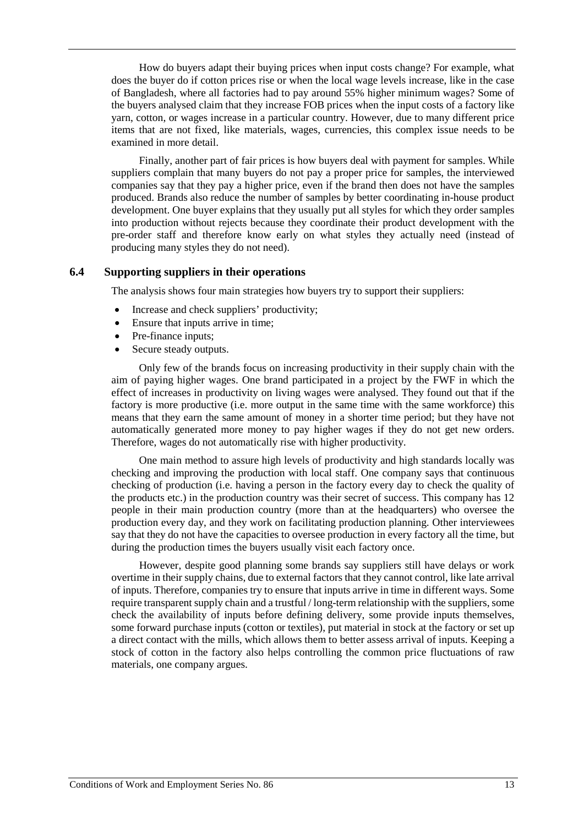How do buyers adapt their buying prices when input costs change? For example, what does the buyer do if cotton prices rise or when the local wage levels increase, like in the case of Bangladesh, where all factories had to pay around 55% higher minimum wages? Some of the buyers analysed claim that they increase FOB prices when the input costs of a factory like yarn, cotton, or wages increase in a particular country. However, due to many different price items that are not fixed, like materials, wages, currencies, this complex issue needs to be examined in more detail.

Finally, another part of fair prices is how buyers deal with payment for samples. While suppliers complain that many buyers do not pay a proper price for samples, the interviewed companies say that they pay a higher price, even if the brand then does not have the samples produced. Brands also reduce the number of samples by better coordinating in-house product development. One buyer explains that they usually put all styles for which they order samples into production without rejects because they coordinate their product development with the pre-order staff and therefore know early on what styles they actually need (instead of producing many styles they do not need).

#### <span id="page-16-0"></span>**6.4 Supporting suppliers in their operations**

The analysis shows four main strategies how buyers try to support their suppliers:

- Increase and check suppliers' productivity;
- Ensure that inputs arrive in time;
- Pre-finance inputs;
- Secure steady outputs.

Only few of the brands focus on increasing productivity in their supply chain with the aim of paying higher wages. One brand participated in a project by the FWF in which the effect of increases in productivity on living wages were analysed. They found out that if the factory is more productive (i.e. more output in the same time with the same workforce) this means that they earn the same amount of money in a shorter time period; but they have not automatically generated more money to pay higher wages if they do not get new orders. Therefore, wages do not automatically rise with higher productivity.

One main method to assure high levels of productivity and high standards locally was checking and improving the production with local staff. One company says that continuous checking of production (i.e. having a person in the factory every day to check the quality of the products etc.) in the production country was their secret of success. This company has 12 people in their main production country (more than at the headquarters) who oversee the production every day, and they work on facilitating production planning. Other interviewees say that they do not have the capacities to oversee production in every factory all the time, but during the production times the buyers usually visit each factory once.

However, despite good planning some brands say suppliers still have delays or work overtime in their supply chains, due to external factors that they cannot control, like late arrival of inputs. Therefore, companies try to ensure that inputs arrive in time in different ways. Some require transparent supply chain and a trustful / long-term relationship with the suppliers, some check the availability of inputs before defining delivery, some provide inputs themselves, some forward purchase inputs (cotton or textiles), put material in stock at the factory or set up a direct contact with the mills, which allows them to better assess arrival of inputs. Keeping a stock of cotton in the factory also helps controlling the common price fluctuations of raw materials, one company argues.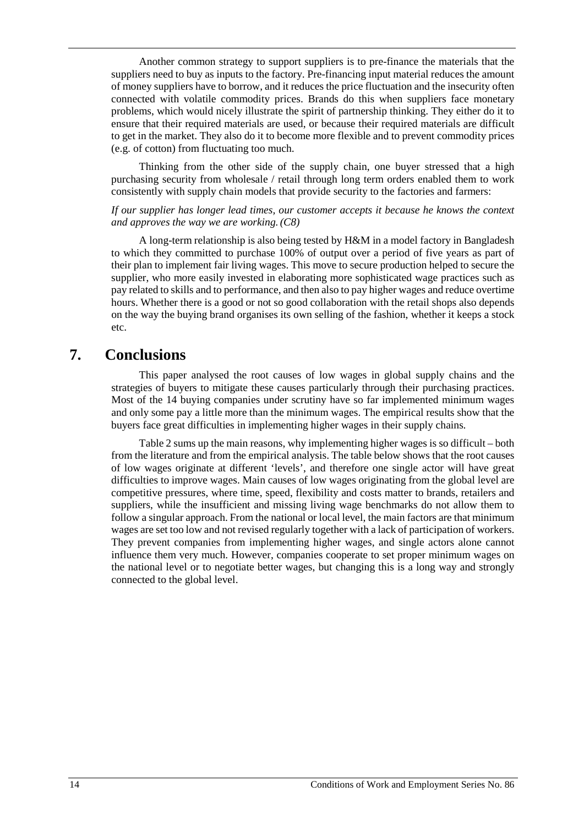Another common strategy to support suppliers is to pre-finance the materials that the suppliers need to buy as inputs to the factory. Pre-financing input material reduces the amount of money suppliers have to borrow, and it reduces the price fluctuation and the insecurity often connected with volatile commodity prices. Brands do this when suppliers face monetary problems, which would nicely illustrate the spirit of partnership thinking. They either do it to ensure that their required materials are used, or because their required materials are difficult to get in the market. They also do it to become more flexible and to prevent commodity prices (e.g. of cotton) from fluctuating too much.

Thinking from the other side of the supply chain, one buyer stressed that a high purchasing security from wholesale / retail through long term orders enabled them to work consistently with supply chain models that provide security to the factories and farmers:

#### *If our supplier has longer lead times, our customer accepts it because he knows the context and approves the way we are working.(C8)*

A long-term relationship is also being tested by H&M in a model factory in Bangladesh to which they committed to purchase 100% of output over a period of five years as part of their plan to implement fair living wages. This move to secure production helped to secure the supplier, who more easily invested in elaborating more sophisticated wage practices such as pay related to skills and to performance, and then also to pay higher wages and reduce overtime hours. Whether there is a good or not so good collaboration with the retail shops also depends on the way the buying brand organises its own selling of the fashion, whether it keeps a stock etc.

## <span id="page-17-0"></span>**7. Conclusions**

This paper analysed the root causes of low wages in global supply chains and the strategies of buyers to mitigate these causes particularly through their purchasing practices. Most of the 14 buying companies under scrutiny have so far implemented minimum wages and only some pay a little more than the minimum wages. The empirical results show that the buyers face great difficulties in implementing higher wages in their supply chains.

Table 2 sums up the main reasons, why implementing higher wages is so difficult – both from the literature and from the empirical analysis. The table below shows that the root causes of low wages originate at different 'levels', and therefore one single actor will have great difficulties to improve wages. Main causes of low wages originating from the global level are competitive pressures, where time, speed, flexibility and costs matter to brands, retailers and suppliers, while the insufficient and missing living wage benchmarks do not allow them to follow a singular approach. From the national or local level, the main factors are that minimum wages are set too low and not revised regularly together with a lack of participation of workers. They prevent companies from implementing higher wages, and single actors alone cannot influence them very much. However, companies cooperate to set proper minimum wages on the national level or to negotiate better wages, but changing this is a long way and strongly connected to the global level.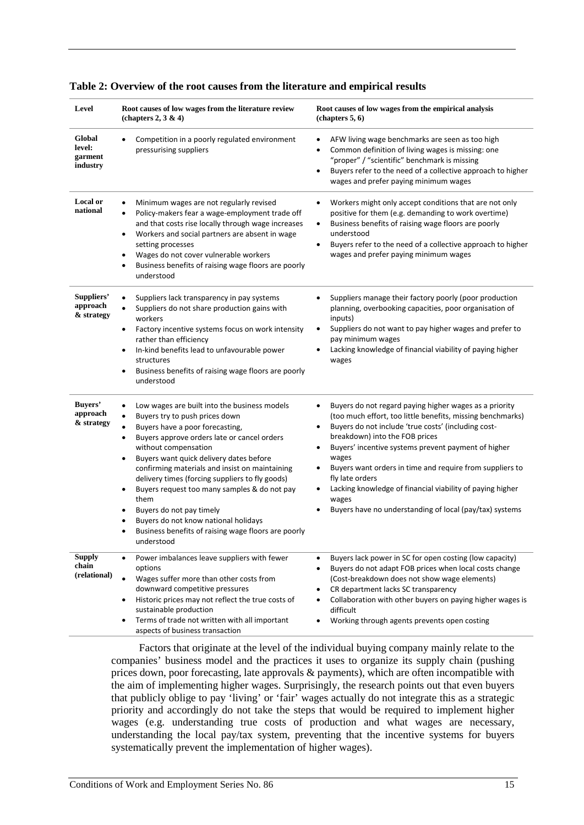| Level                                   | Root causes of low wages from the literature review<br>(chapters $2, 3 \& 4$ )                                                                                                                                                                                                                                                                                                                                                                                                                                                                      | Root causes of low wages from the empirical analysis<br>$(chapters 5, 6)$                                                                                                                                                                                                                                                                                                                                                                                                                                                         |  |
|-----------------------------------------|-----------------------------------------------------------------------------------------------------------------------------------------------------------------------------------------------------------------------------------------------------------------------------------------------------------------------------------------------------------------------------------------------------------------------------------------------------------------------------------------------------------------------------------------------------|-----------------------------------------------------------------------------------------------------------------------------------------------------------------------------------------------------------------------------------------------------------------------------------------------------------------------------------------------------------------------------------------------------------------------------------------------------------------------------------------------------------------------------------|--|
| Global<br>level:<br>garment<br>industry | Competition in a poorly regulated environment<br>pressurising suppliers                                                                                                                                                                                                                                                                                                                                                                                                                                                                             | AFW living wage benchmarks are seen as too high<br>Common definition of living wages is missing: one<br>"proper" / "scientific" benchmark is missing<br>Buyers refer to the need of a collective approach to higher<br>$\bullet$<br>wages and prefer paying minimum wages                                                                                                                                                                                                                                                         |  |
| Local or<br>national                    | Minimum wages are not regularly revised<br>Policy-makers fear a wage-employment trade off<br>and that costs rise locally through wage increases<br>Workers and social partners are absent in wage<br>٠<br>setting processes<br>Wages do not cover vulnerable workers<br>٠<br>Business benefits of raising wage floors are poorly<br>understood                                                                                                                                                                                                      | Workers might only accept conditions that are not only<br>positive for them (e.g. demanding to work overtime)<br>Business benefits of raising wage floors are poorly<br>$\bullet$<br>understood<br>Buyers refer to the need of a collective approach to higher<br>$\bullet$<br>wages and prefer paying minimum wages                                                                                                                                                                                                              |  |
| Suppliers'<br>approach<br>& strategy    | Suppliers lack transparency in pay systems<br>Suppliers do not share production gains with<br>workers<br>Factory incentive systems focus on work intensity<br>٠<br>rather than efficiency<br>In-kind benefits lead to unfavourable power<br>٠<br>structures<br>Business benefits of raising wage floors are poorly<br>٠<br>understood                                                                                                                                                                                                               | Suppliers manage their factory poorly (poor production<br>planning, overbooking capacities, poor organisation of<br>inputs)<br>Suppliers do not want to pay higher wages and prefer to<br>٠<br>pay minimum wages<br>Lacking knowledge of financial viability of paying higher<br>wages                                                                                                                                                                                                                                            |  |
| Buyers'<br>approach<br>& strategy       | Low wages are built into the business models<br>Buyers try to push prices down<br>٠<br>Buyers have a poor forecasting,<br>Buyers approve orders late or cancel orders<br>without compensation<br>Buyers want quick delivery dates before<br>confirming materials and insist on maintaining<br>delivery times (forcing suppliers to fly goods)<br>Buyers request too many samples & do not pay<br>٠<br>them<br>Buyers do not pay timely<br>Buyers do not know national holidays<br>Business benefits of raising wage floors are poorly<br>understood | Buyers do not regard paying higher wages as a priority<br>٠<br>(too much effort, too little benefits, missing benchmarks)<br>Buyers do not include 'true costs' (including cost-<br>$\bullet$<br>breakdown) into the FOB prices<br>Buyers' incentive systems prevent payment of higher<br>wages<br>Buyers want orders in time and require from suppliers to<br>$\bullet$<br>fly late orders<br>Lacking knowledge of financial viability of paying higher<br>wages<br>Buyers have no understanding of local (pay/tax) systems<br>٠ |  |
| <b>Supply</b><br>chain<br>(relational)  | Power imbalances leave suppliers with fewer<br>$\bullet$<br>options<br>Wages suffer more than other costs from<br>downward competitive pressures<br>Historic prices may not reflect the true costs of<br>٠<br>sustainable production<br>Terms of trade not written with all important<br>aspects of business transaction                                                                                                                                                                                                                            | Buyers lack power in SC for open costing (low capacity)<br>$\bullet$<br>Buyers do not adapt FOB prices when local costs change<br>(Cost-breakdown does not show wage elements)<br>CR department lacks SC transparency<br>Collaboration with other buyers on paying higher wages is<br>difficult<br>Working through agents prevents open costing                                                                                                                                                                                   |  |

|  |  |  | Table 2: Overview of the root causes from the literature and empirical results |
|--|--|--|--------------------------------------------------------------------------------|
|--|--|--|--------------------------------------------------------------------------------|

Factors that originate at the level of the individual buying company mainly relate to the companies' business model and the practices it uses to organize its supply chain (pushing prices down, poor forecasting, late approvals & payments), which are often incompatible with the aim of implementing higher wages. Surprisingly, the research points out that even buyers that publicly oblige to pay 'living' or 'fair' wages actually do not integrate this as a strategic priority and accordingly do not take the steps that would be required to implement higher wages (e.g. understanding true costs of production and what wages are necessary, understanding the local pay/tax system, preventing that the incentive systems for buyers systematically prevent the implementation of higher wages).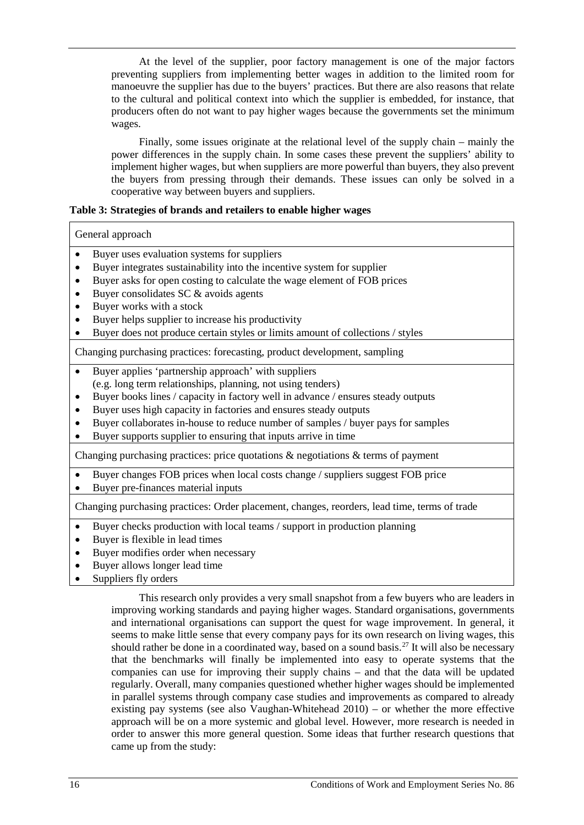At the level of the supplier, poor factory management is one of the major factors preventing suppliers from implementing better wages in addition to the limited room for manoeuvre the supplier has due to the buyers' practices. But there are also reasons that relate to the cultural and political context into which the supplier is embedded, for instance, that producers often do not want to pay higher wages because the governments set the minimum wages.

Finally, some issues originate at the relational level of the supply chain – mainly the power differences in the supply chain. In some cases these prevent the suppliers' ability to implement higher wages, but when suppliers are more powerful than buyers, they also prevent the buyers from pressing through their demands. These issues can only be solved in a cooperative way between buyers and suppliers.

#### **Table 3: Strategies of brands and retailers to enable higher wages**

#### General approach

- Buyer uses evaluation systems for suppliers
- Buyer integrates sustainability into the incentive system for supplier
- Buyer asks for open costing to calculate the wage element of FOB prices
- Buyer consolidates SC & avoids agents
- Buyer works with a stock
- Buyer helps supplier to increase his productivity
- Buyer does not produce certain styles or limits amount of collections / styles

Changing purchasing practices: forecasting, product development, sampling

- Buyer applies 'partnership approach' with suppliers (e.g. long term relationships, planning, not using tenders)
- Buyer books lines / capacity in factory well in advance / ensures steady outputs
- Buyer uses high capacity in factories and ensures steady outputs
- Buyer collaborates in-house to reduce number of samples / buyer pays for samples
- Buyer supports supplier to ensuring that inputs arrive in time

Changing purchasing practices: price quotations & negotiations & terms of payment

- Buyer changes FOB prices when local costs change / suppliers suggest FOB price
- Buyer pre-finances material inputs

Changing purchasing practices: Order placement, changes, reorders, lead time, terms of trade

- Buyer checks production with local teams / support in production planning
- Buyer is flexible in lead times
- Buyer modifies order when necessary
- Buyer allows longer lead time
- Suppliers fly orders

This research only provides a very small snapshot from a few buyers who are leaders in improving working standards and paying higher wages. Standard organisations, governments and international organisations can support the quest for wage improvement. In general, it seems to make little sense that every company pays for its own research on living wages, this should rather be done in a coordinated way, based on a sound basis.<sup>[27](#page-30-6)</sup> It will also be necessary that the benchmarks will finally be implemented into easy to operate systems that the companies can use for improving their supply chains – and that the data will be updated regularly. Overall, many companies questioned whether higher wages should be implemented in parallel systems through company case studies and improvements as compared to already existing pay systems (see also Vaughan-Whitehead  $2010$ ) – or whether the more effective approach will be on a more systemic and global level. However, more research is needed in order to answer this more general question. Some ideas that further research questions that came up from the study: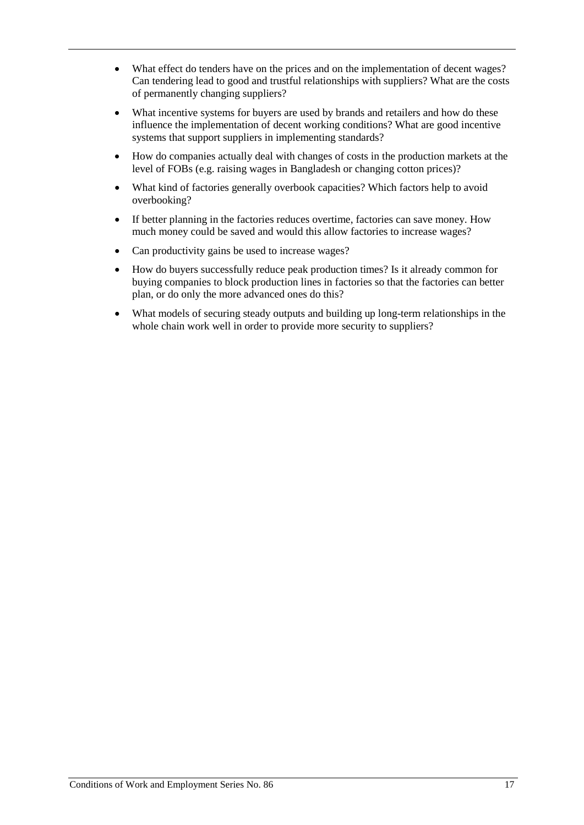- What effect do tenders have on the prices and on the implementation of decent wages? Can tendering lead to good and trustful relationships with suppliers? What are the costs of permanently changing suppliers?
- What incentive systems for buyers are used by brands and retailers and how do these influence the implementation of decent working conditions? What are good incentive systems that support suppliers in implementing standards?
- How do companies actually deal with changes of costs in the production markets at the level of FOBs (e.g. raising wages in Bangladesh or changing cotton prices)?
- What kind of factories generally overbook capacities? Which factors help to avoid overbooking?
- If better planning in the factories reduces overtime, factories can save money. How much money could be saved and would this allow factories to increase wages?
- Can productivity gains be used to increase wages?
- How do buyers successfully reduce peak production times? Is it already common for buying companies to block production lines in factories so that the factories can better plan, or do only the more advanced ones do this?
- What models of securing steady outputs and building up long-term relationships in the whole chain work well in order to provide more security to suppliers?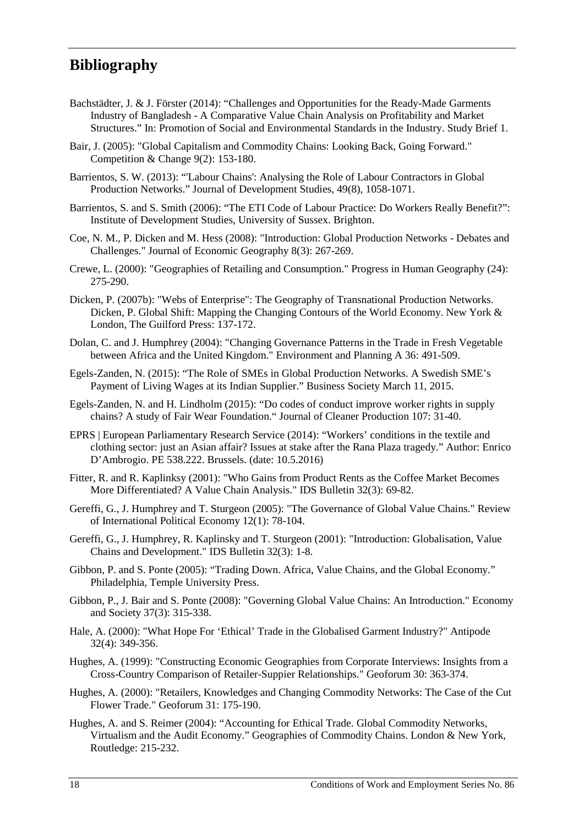## <span id="page-21-0"></span>**Bibliography**

- Bachstädter, J. & J. Förster (2014): "Challenges and Opportunities for the Ready-Made Garments Industry of Bangladesh - A Comparative Value Chain Analysis on Profitability and Market Structures." In: Promotion of Social and Environmental Standards in the Industry. Study Brief 1.
- Bair, J. (2005): "Global Capitalism and Commodity Chains: Looking Back, Going Forward." Competition & Change 9(2): 153-180.
- Barrientos, S. W. (2013): "'Labour Chains': Analysing the Role of Labour Contractors in Global Production Networks." Journal of Development Studies, 49(8), 1058-1071.
- Barrientos, S. and S. Smith (2006): "The ETI Code of Labour Practice: Do Workers Really Benefit?": Institute of Development Studies, University of Sussex. Brighton.
- Coe, N. M., P. Dicken and M. Hess (2008): "Introduction: Global Production Networks Debates and Challenges." Journal of Economic Geography 8(3): 267-269.
- Crewe, L. (2000): "Geographies of Retailing and Consumption." Progress in Human Geography (24): 275-290.
- Dicken, P. (2007b): "Webs of Enterprise": The Geography of Transnational Production Networks. Dicken, P. Global Shift: Mapping the Changing Contours of the World Economy. New York & London, The Guilford Press: 137-172.
- Dolan, C. and J. Humphrey (2004): "Changing Governance Patterns in the Trade in Fresh Vegetable between Africa and the United Kingdom." Environment and Planning A 36: 491-509.
- Egels-Zanden, N. (2015): "The Role of SMEs in Global Production Networks. A Swedish SME's Payment of Living Wages at its Indian Supplier." Business Society March 11, 2015.
- Egels-Zanden, N. and H. Lindholm (2015): "Do codes of conduct improve worker rights in supply chains? A study of Fair Wear Foundation." Journal of Cleaner Production 107: 31-40.
- EPRS | European Parliamentary Research Service (2014): "Workers' conditions in the textile and clothing sector: just an Asian affair? Issues at stake after the Rana Plaza tragedy." Author: Enrico D'Ambrogio. PE 538.222. Brussels. (date: 10.5.2016)
- Fitter, R. and R. Kaplinksy (2001): "Who Gains from Product Rents as the Coffee Market Becomes More Differentiated? A Value Chain Analysis." IDS Bulletin 32(3): 69-82.
- Gereffi, G., J. Humphrey and T. Sturgeon (2005): "The Governance of Global Value Chains." Review of International Political Economy 12(1): 78-104.
- Gereffi, G., J. Humphrey, R. Kaplinsky and T. Sturgeon (2001): "Introduction: Globalisation, Value Chains and Development." IDS Bulletin 32(3): 1-8.
- Gibbon, P. and S. Ponte (2005): "Trading Down. Africa, Value Chains, and the Global Economy." Philadelphia, Temple University Press.
- Gibbon, P., J. Bair and S. Ponte (2008): "Governing Global Value Chains: An Introduction." Economy and Society 37(3): 315-338.
- Hale, A. (2000): "What Hope For 'Ethical' Trade in the Globalised Garment Industry?" Antipode 32(4): 349-356.
- Hughes, A. (1999): "Constructing Economic Geographies from Corporate Interviews: Insights from a Cross-Country Comparison of Retailer-Suppier Relationships." Geoforum 30: 363-374.
- Hughes, A. (2000): "Retailers, Knowledges and Changing Commodity Networks: The Case of the Cut Flower Trade." Geoforum 31: 175-190.
- Hughes, A. and S. Reimer (2004): "Accounting for Ethical Trade. Global Commodity Networks, Virtualism and the Audit Economy." Geographies of Commodity Chains. London & New York, Routledge: 215-232.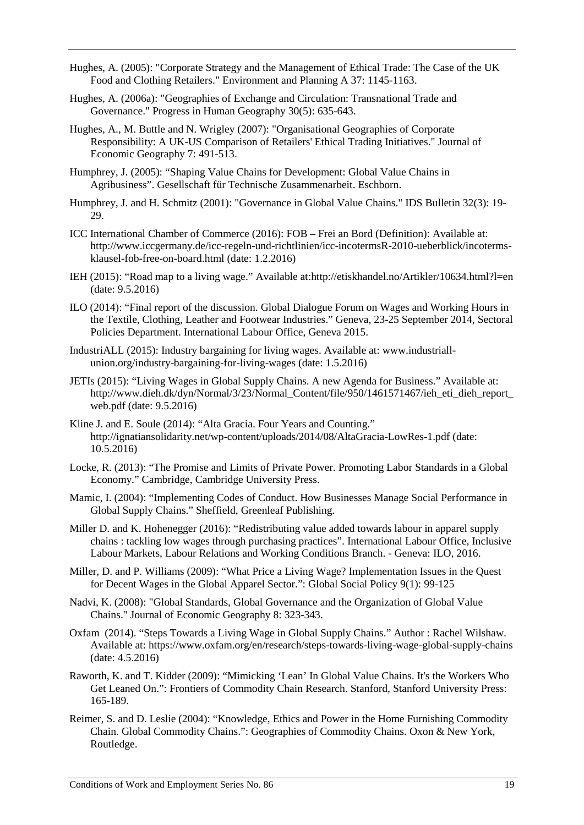- Hughes, A. (2005): "Corporate Strategy and the Management of Ethical Trade: The Case of the UK Food and Clothing Retailers." Environment and Planning A 37: 1145-1163.
- Hughes, A. (2006a): "Geographies of Exchange and Circulation: Transnational Trade and Governance." Progress in Human Geography 30(5): 635-643.
- Hughes, A., M. Buttle and N. Wrigley (2007): "Organisational Geographies of Corporate Responsibility: A UK-US Comparison of Retailers' Ethical Trading Initiatives." Journal of Economic Geography 7: 491-513.
- Humphrey, J. (2005): "Shaping Value Chains for Development: Global Value Chains in Agribusiness". Gesellschaft für Technische Zusammenarbeit. Eschborn.
- Humphrey, J. and H. Schmitz (2001): "Governance in Global Value Chains." IDS Bulletin 32(3): 19- 29.
- ICC International Chamber of Commerce (2016): FOB Frei an Bord (Definition): Available at: http://www.iccgermany.de/icc-regeln-und-richtlinien/icc-incotermsR-2010-ueberblick/incotermsklausel-fob-free-on-board.html (date: 1.2.2016)
- IEH (2015): "Road map to a living wage." Available at:http://etiskhandel.no/Artikler/10634.html?l=en (date: 9.5.2016)
- ILO (2014): "Final report of the discussion. Global Dialogue Forum on Wages and Working Hours in the Textile, Clothing, Leather and Footwear Industries." Geneva, 23-25 September 2014, Sectoral Policies Department. International Labour Office, Geneva 2015.
- IndustriALL (2015): Industry bargaining for living wages. Available at: www.industriallunion.org/industry-bargaining-for-living-wages (date: 1.5.2016)
- JETIs (2015): "Living Wages in Global Supply Chains. A new Agenda for Business." Available at: http://www.dieh.dk/dyn/Normal/3/23/Normal\_Content/file/950/1461571467/ieh\_eti\_dieh\_report\_ web.pdf (date: 9.5.2016)
- Kline J. and E. Soule (2014): "Alta Gracia. Four Years and Counting." http://ignatiansolidarity.net/wp-content/uploads/2014/08/AltaGracia-LowRes-1.pdf (date: 10.5.2016)
- Locke, R. (2013): "The Promise and Limits of Private Power. Promoting Labor Standards in a Global Economy." Cambridge, Cambridge University Press.
- Mamic, I. (2004): "Implementing Codes of Conduct. How Businesses Manage Social Performance in Global Supply Chains." Sheffield, Greenleaf Publishing.
- Miller D. and K. Hohenegger (2016): "Redistributing value added towards labour in apparel supply chains : tackling low wages through purchasing practices". International Labour Office, Inclusive Labour Markets, Labour Relations and Working Conditions Branch. - Geneva: ILO, 2016.
- Miller, D. and P. Williams (2009): "What Price a Living Wage? Implementation Issues in the Quest for Decent Wages in the Global Apparel Sector.": Global Social Policy 9(1): 99-125
- Nadvi, K. (2008): "Global Standards, Global Governance and the Organization of Global Value Chains." Journal of Economic Geography 8: 323-343.
- Oxfam (2014). "Steps Towards a Living Wage in Global Supply Chains." Author : Rachel Wilshaw. Available at: https://www.oxfam.org/en/research/steps-towards-living-wage-global-supply-chains (date: 4.5.2016)
- Raworth, K. and T. Kidder (2009): "Mimicking 'Lean' In Global Value Chains. It's the Workers Who Get Leaned On.": Frontiers of Commodity Chain Research. Stanford, Stanford University Press: 165-189.
- Reimer, S. and D. Leslie (2004): "Knowledge, Ethics and Power in the Home Furnishing Commodity Chain. Global Commodity Chains.": Geographies of Commodity Chains. Oxon & New York, Routledge.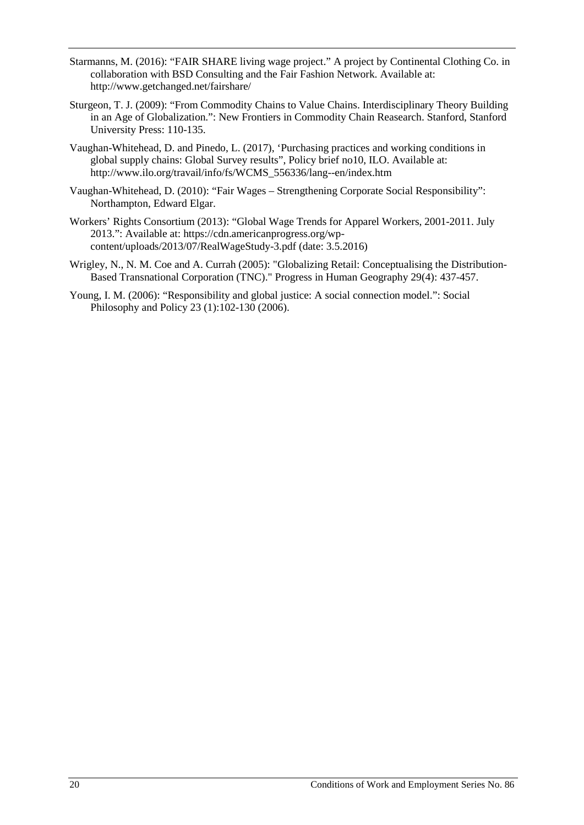- Starmanns, M. (2016): "FAIR SHARE living wage project." A project by Continental Clothing Co. in collaboration with BSD Consulting and the Fair Fashion Network. Available at: http://www.getchanged.net/fairshare/
- Sturgeon, T. J. (2009): "From Commodity Chains to Value Chains. Interdisciplinary Theory Building in an Age of Globalization.": New Frontiers in Commodity Chain Reasearch. Stanford, Stanford University Press: 110-135.
- Vaughan-Whitehead, D. and Pinedo, L. (2017), 'Purchasing practices and working conditions in global supply chains: Global Survey results", Policy brief no10, ILO. Available at: http://www.ilo.org/travail/info/fs/WCMS\_556336/lang--en/index.htm
- Vaughan-Whitehead, D. (2010): "Fair Wages Strengthening Corporate Social Responsibility": Northampton, Edward Elgar.
- Workers' Rights Consortium (2013): "Global Wage Trends for Apparel Workers, 2001-2011. July 2013.": Available at: https://cdn.americanprogress.org/wpcontent/uploads/2013/07/RealWageStudy-3.pdf (date: 3.5.2016)
- Wrigley, N., N. M. Coe and A. Currah (2005): "Globalizing Retail: Conceptualising the Distribution-Based Transnational Corporation (TNC)." Progress in Human Geography 29(4): 437-457.
- Young, I. M. (2006): "Responsibility and global justice: A social connection model.": Social [Philosophy and Policy](http://philpapers.org/asearch.pl?pub=1019) 23 (1):102-130 (2006).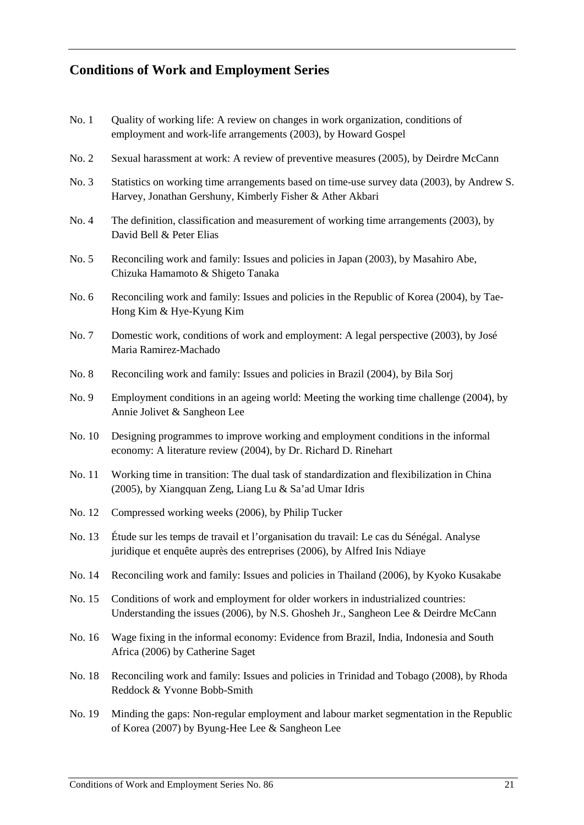## **Conditions of Work and Employment Series**

- No. 1 Quality of working life: A review on changes in work organization, conditions of employment and work-life arrangements (2003), by Howard Gospel
- No. 2 Sexual harassment at work: A review of preventive measures (2005), by Deirdre McCann
- No. 3 Statistics on working time arrangements based on time-use survey data (2003), by Andrew S. Harvey, Jonathan Gershuny, Kimberly Fisher & Ather Akbari
- No. 4 The definition, classification and measurement of working time arrangements (2003), by David Bell & Peter Elias
- No. 5 Reconciling work and family: Issues and policies in Japan (2003), by Masahiro Abe, Chizuka Hamamoto & Shigeto Tanaka
- No. 6 Reconciling work and family: Issues and policies in the Republic of Korea (2004), by Tae-Hong Kim & Hye-Kyung Kim
- No. 7 Domestic work, conditions of work and employment: A legal perspective (2003), by José Maria Ramirez-Machado
- No. 8 Reconciling work and family: Issues and policies in Brazil (2004), by Bila Sorj
- No. 9 Employment conditions in an ageing world: Meeting the working time challenge (2004), by Annie Jolivet & Sangheon Lee
- No. 10 Designing programmes to improve working and employment conditions in the informal economy: A literature review (2004), by Dr. Richard D. Rinehart
- No. 11 Working time in transition: The dual task of standardization and flexibilization in China (2005), by Xiangquan Zeng, Liang Lu & Sa'ad Umar Idris
- No. 12 Compressed working weeks (2006), by Philip Tucker
- No. 13 Étude sur les temps de travail et l'organisation du travail: Le cas du Sénégal. Analyse juridique et enquête auprès des entreprises (2006), by Alfred Inis Ndiaye
- No. 14 Reconciling work and family: Issues and policies in Thailand (2006), by Kyoko Kusakabe
- No. 15 Conditions of work and employment for older workers in industrialized countries: Understanding the issues (2006), by N.S. Ghosheh Jr., Sangheon Lee & Deirdre McCann
- No. 16 Wage fixing in the informal economy: Evidence from Brazil, India, Indonesia and South Africa (2006) by Catherine Saget
- No. 18 Reconciling work and family: Issues and policies in Trinidad and Tobago (2008), by Rhoda Reddock & Yvonne Bobb-Smith
- No. 19 Minding the gaps: Non-regular employment and labour market segmentation in the Republic of Korea (2007) by Byung-Hee Lee & Sangheon Lee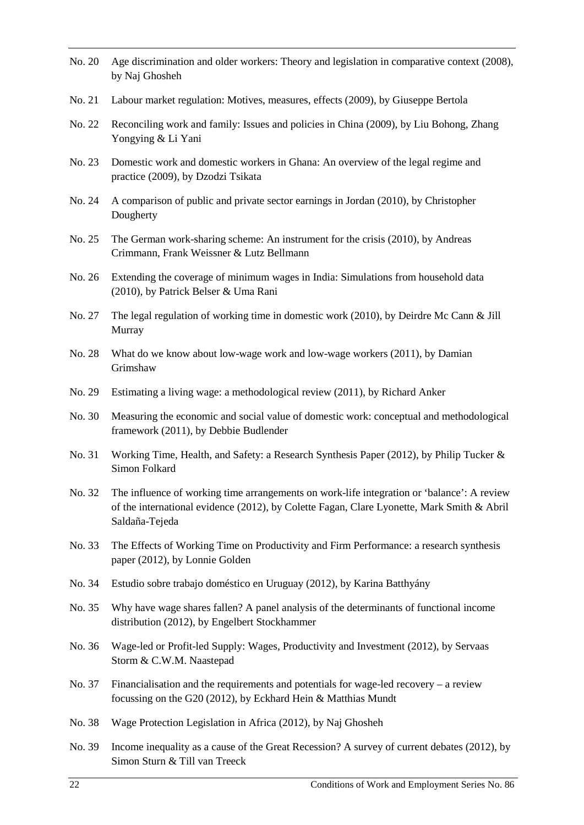- No. 20 Age discrimination and older workers: Theory and legislation in comparative context (2008), by Naj Ghosheh No. 21 Labour market regulation: Motives, measures, effects (2009), by Giuseppe Bertola No. 22 Reconciling work and family: Issues and policies in China (2009), by Liu Bohong, Zhang Yongying & Li Yani No. 23 Domestic work and domestic workers in Ghana: An overview of the legal regime and practice (2009), by Dzodzi Tsikata No. 24 A comparison of public and private sector earnings in Jordan (2010), by Christopher Dougherty No. 25 The German work-sharing scheme: An instrument for the crisis (2010), by Andreas Crimmann, Frank Weissner & Lutz Bellmann No. 26 Extending the coverage of minimum wages in India: Simulations from household data (2010), by Patrick Belser & Uma Rani No. 27 The legal regulation of working time in domestic work (2010), by Deirdre Mc Cann & Jill Murray No. 28 What do we know about low-wage work and low-wage workers (2011), by Damian Grimshaw No. 29 Estimating a living wage: a methodological review (2011), by Richard Anker No. 30 Measuring the economic and social value of domestic work: conceptual and methodological framework (2011), by Debbie Budlender No. 31 Working Time, Health, and Safety: a Research Synthesis Paper (2012), by Philip Tucker & Simon Folkard No. 32 The influence of working time arrangements on work-life integration or 'balance': A review of the international evidence (2012), by Colette Fagan, Clare Lyonette, Mark Smith & Abril Saldaña-Tejeda No. 33 The Effects of Working Time on Productivity and Firm Performance: a research synthesis paper (2012), by Lonnie Golden No. 34 Estudio sobre trabajo doméstico en Uruguay (2012), by Karina Batthyány No. 35 Why have wage shares fallen? A panel analysis of the determinants of functional income distribution (2012), by Engelbert Stockhammer No. 36 Wage-led or Profit-led Supply: Wages, Productivity and Investment (2012), by Servaas Storm & C.W.M. Naastepad No. 37 Financialisation and the requirements and potentials for wage-led recovery – a review focussing on the G20 (2012), by Eckhard Hein & Matthias Mundt No. 38 Wage Protection Legislation in Africa (2012), by Naj Ghosheh
- No. 39 Income inequality as a cause of the Great Recession? A survey of current debates (2012), by Simon Sturn & Till van Treeck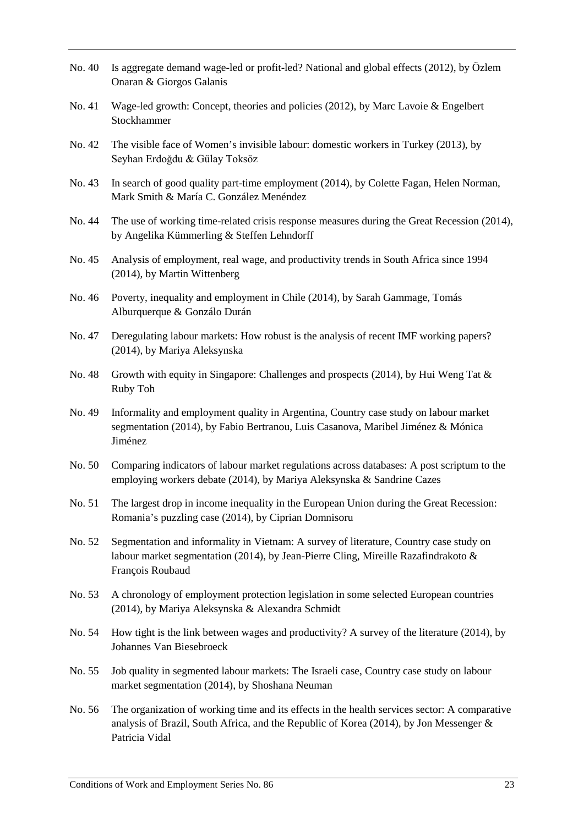- No. 40 Is aggregate demand wage-led or profit-led? National and global effects (2012), by Özlem Onaran & Giorgos Galanis
- No. 41 Wage-led growth: Concept, theories and policies (2012), by Marc Lavoie & Engelbert Stockhammer
- No. 42 The visible face of Women's invisible labour: domestic workers in Turkey (2013), by Seyhan Erdoğdu & Gülay Toksöz
- No. 43 In search of good quality part-time employment (2014), by Colette Fagan, Helen Norman, Mark Smith & María C. González Menéndez
- No. 44 The use of working time-related crisis response measures during the Great Recession (2014), by Angelika Kümmerling & Steffen Lehndorff
- No. 45 Analysis of employment, real wage, and productivity trends in South Africa since 1994 (2014), by Martin Wittenberg
- No. 46 Poverty, inequality and employment in Chile (2014), by Sarah Gammage, Tomás Alburquerque & Gonzálo Durán
- No. 47 Deregulating labour markets: How robust is the analysis of recent IMF working papers? (2014), by Mariya Aleksynska
- No. 48 Growth with equity in Singapore: Challenges and prospects (2014), by Hui Weng Tat & Ruby Toh
- No. 49 Informality and employment quality in Argentina, Country case study on labour market segmentation (2014), by Fabio Bertranou, Luis Casanova, Maribel Jiménez & Mónica Jiménez
- No. 50 Comparing indicators of labour market regulations across databases: A post scriptum to the employing workers debate (2014), by Mariya Aleksynska & Sandrine Cazes
- No. 51 The largest drop in income inequality in the European Union during the Great Recession: Romania's puzzling case (2014), by Ciprian Domnisoru
- No. 52 Segmentation and informality in Vietnam: A survey of literature, Country case study on labour market segmentation (2014), by Jean-Pierre Cling, Mireille Razafindrakoto & François Roubaud
- No. 53 A chronology of employment protection legislation in some selected European countries (2014), by Mariya Aleksynska & Alexandra Schmidt
- No. 54 How tight is the link between wages and productivity? A survey of the literature (2014), by Johannes Van Biesebroeck
- No. 55 Job quality in segmented labour markets: The Israeli case, Country case study on labour market segmentation (2014), by Shoshana Neuman
- No. 56 The organization of working time and its effects in the health services sector: A comparative analysis of Brazil, South Africa, and the Republic of Korea (2014), by Jon Messenger & Patricia Vidal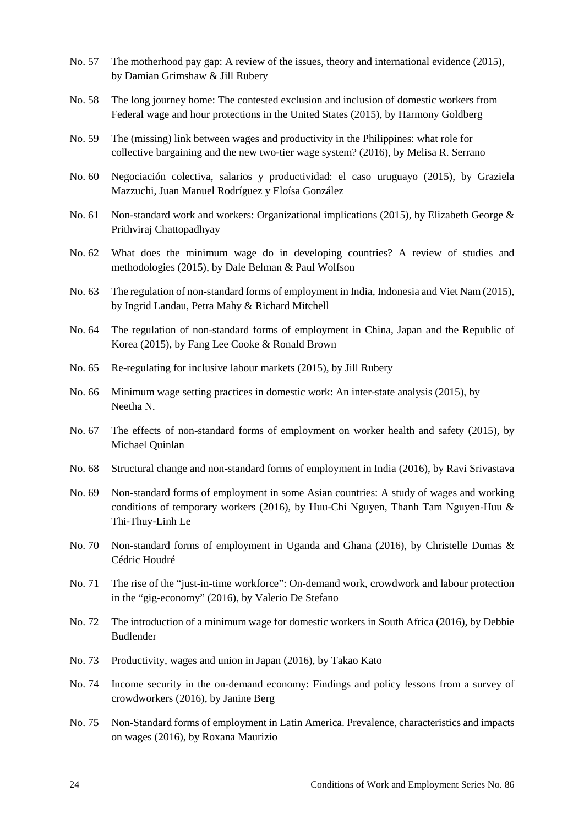- No. 57 The motherhood pay gap: A review of the issues, theory and international evidence (2015), by Damian Grimshaw & Jill Rubery
- No. 58 The long journey home: The contested exclusion and inclusion of domestic workers from Federal wage and hour protections in the United States (2015), by Harmony Goldberg
- No. 59 The (missing) link between wages and productivity in the Philippines: what role for collective bargaining and the new two-tier wage system? (2016), by Melisa R. Serrano
- No. 60 Negociación colectiva, salarios y productividad: el caso uruguayo (2015), by Graziela Mazzuchi, Juan Manuel Rodríguez y Eloísa González
- No. 61 Non-standard work and workers: Organizational implications (2015), by Elizabeth George & Prithviraj Chattopadhyay
- No. 62 What does the minimum wage do in developing countries? A review of studies and methodologies (2015), by Dale Belman & Paul Wolfson
- No. 63 The regulation of non-standard forms of employment in India, Indonesia and Viet Nam (2015), by Ingrid Landau, Petra Mahy & Richard Mitchell
- No. 64 The regulation of non-standard forms of employment in China, Japan and the Republic of Korea (2015), by Fang Lee Cooke & Ronald Brown
- No. 65 Re-regulating for inclusive labour markets (2015), by Jill Rubery
- No. 66 Minimum wage setting practices in domestic work: An inter-state analysis (2015), by Neetha N.
- No. 67 The effects of non-standard forms of employment on worker health and safety (2015), by Michael Quinlan
- No. 68 Structural change and non-standard forms of employment in India (2016), by Ravi Srivastava
- No. 69 Non-standard forms of employment in some Asian countries: A study of wages and working conditions of temporary workers (2016), by Huu-Chi Nguyen, Thanh Tam Nguyen-Huu & Thi-Thuy-Linh Le
- No. 70 Non-standard forms of employment in Uganda and Ghana (2016), by Christelle Dumas & Cédric Houdré
- No. 71 The rise of the "just-in-time workforce": On-demand work, crowdwork and labour protection in the "gig-economy" (2016), by Valerio De Stefano
- No. 72 The introduction of a minimum wage for domestic workers in South Africa (2016), by Debbie Budlender
- No. 73 Productivity, wages and union in Japan (2016), by Takao Kato
- No. 74 Income security in the on-demand economy: Findings and policy lessons from a survey of crowdworkers (2016), by Janine Berg
- No. 75 Non-Standard forms of employment in Latin America. Prevalence, characteristics and impacts on wages (2016), by Roxana Maurizio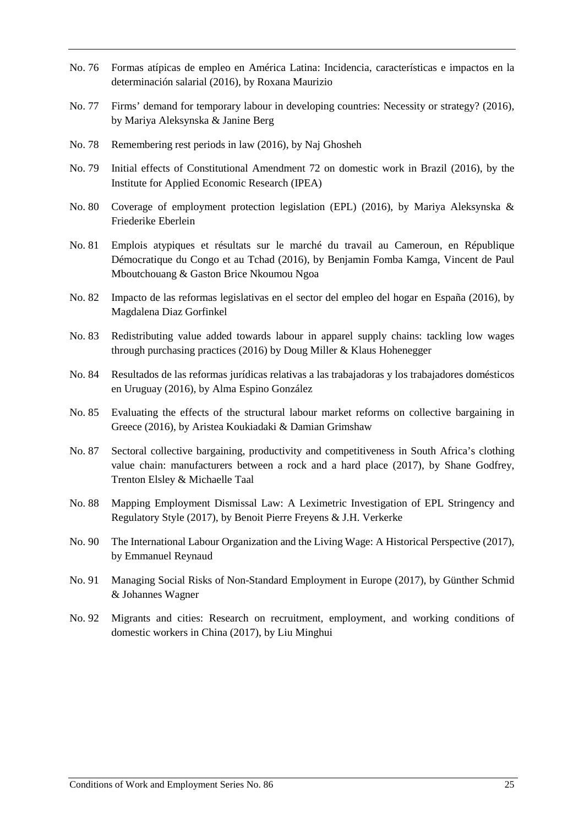- No. 76 Formas atípicas de empleo en América Latina: Incidencia, características e impactos en la determinación salarial (2016), by Roxana Maurizio
- No. 77 Firms' demand for temporary labour in developing countries: Necessity or strategy? (2016), by Mariya Aleksynska & Janine Berg
- No. 78 Remembering rest periods in law (2016), by Naj Ghosheh
- No. 79 Initial effects of Constitutional Amendment 72 on domestic work in Brazil (2016), by the Institute for Applied Economic Research (IPEA)
- No. 80 Coverage of employment protection legislation (EPL) (2016), by Mariya Aleksynska & Friederike Eberlein
- No. 81 Emplois atypiques et résultats sur le marché du travail au Cameroun, en République Démocratique du Congo et au Tchad (2016), by Benjamin Fomba Kamga, Vincent de Paul Mboutchouang & Gaston Brice Nkoumou Ngoa
- No. 82 Impacto de las reformas legislativas en el sector del empleo del hogar en España (2016), by Magdalena Diaz Gorfinkel
- No. 83 Redistributing value added towards labour in apparel supply chains: tackling low wages through purchasing practices (2016) by Doug Miller & Klaus Hohenegger
- No. 84 Resultados de las reformas jurídicas relativas a las trabajadoras y los trabajadores domésticos en Uruguay (2016), by Alma Espino González
- No. 85 Evaluating the effects of the structural labour market reforms on collective bargaining in Greece (2016), by Aristea Koukiadaki & Damian Grimshaw
- No. 87 Sectoral collective bargaining, productivity and competitiveness in South Africa's clothing value chain: manufacturers between a rock and a hard place (2017), by Shane Godfrey, Trenton Elsley & Michaelle Taal
- No. 88 Mapping Employment Dismissal Law: A Leximetric Investigation of EPL Stringency and Regulatory Style (2017), by Benoit Pierre Freyens & J.H. Verkerke
- No. 90 The International Labour Organization and the Living Wage: A Historical Perspective (2017), by Emmanuel Reynaud
- No. 91 Managing Social Risks of Non-Standard Employment in Europe (2017), by Günther Schmid & Johannes Wagner
- No. 92 Migrants and cities: Research on recruitment, employment, and working conditions of domestic workers in China (2017), by Liu Minghui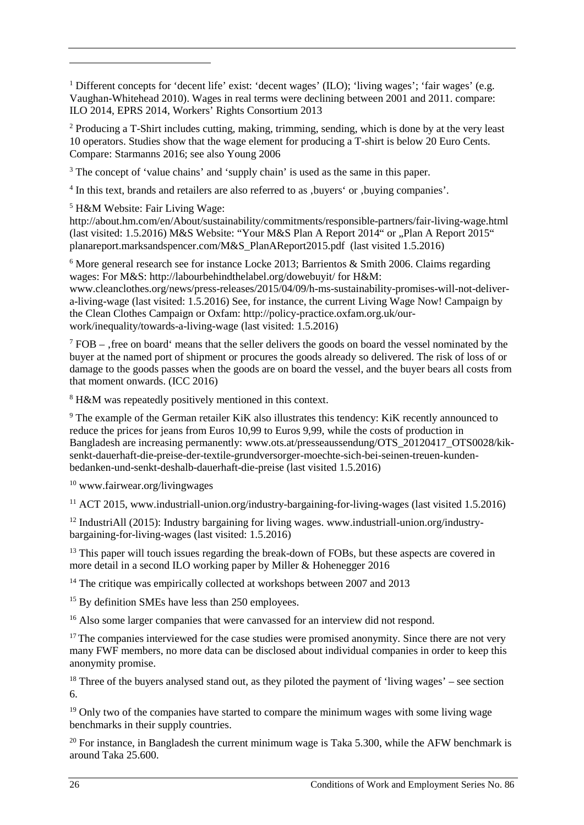<span id="page-29-0"></span><sup>1</sup> Different concepts for 'decent life' exist: 'decent wages' (ILO); 'living wages'; 'fair wages' (e.g. Vaughan-Whitehead 2010). Wages in real terms were declining between 2001 and 2011. compare: ILO 2014, EPRS 2014, Workers' Rights Consortium 2013

<span id="page-29-1"></span><sup>2</sup> Producing a T-Shirt includes cutting, making, trimming, sending, which is done by at the very least 10 operators. Studies show that the wage element for producing a T-shirt is below 20 Euro Cents. Compare: Starmanns 2016; see also Young 2006

<span id="page-29-2"></span><sup>3</sup> The concept of 'value chains' and 'supply chain' is used as the same in this paper.

<span id="page-29-3"></span><sup>4</sup> In this text, brands and retailers are also referred to as , buyers' or , buying companies'.

<sup>5</sup> H&M Website: Fair Living Wage:

<u>.</u>

<span id="page-29-4"></span>http://about.hm.com/en/About/sustainability/commitments/responsible-partners/fair-living-wage.html (last visited: 1.5.2016) M&S Website: "Your M&S Plan A Report  $2014$ " or "Plan A Report  $2015$ " planareport.marksandspencer.com/M&S\_PlanAReport2015.pdf (last visited 1.5.2016)

<span id="page-29-5"></span> $6$  More general research see for instance Locke 2013; Barrientos & Smith 2006. Claims regarding wages: For M&S: http://labourbehindthelabel.org/dowebuyit/ for H&M: www.cleanclothes.org/news/press-releases/2015/04/09/h-ms-sustainability-promises-will-not-delivera-living-wage (last visited: 1.5.2016) See, for instance, the current Living Wage Now! Campaign by the Clean Clothes Campaign or Oxfam: http://policy-practice.oxfam.org.uk/ourwork/inequality/towards-a-living-wage (last visited: 1.5.2016)

<span id="page-29-6"></span> $7$  FOB – . free on board means that the seller delivers the goods on board the vessel nominated by the buyer at the named port of shipment or procures the goods already so delivered. The risk of loss of or damage to the goods passes when the goods are on board the vessel, and the buyer bears all costs from that moment onwards. (ICC 2016)

<sup>8</sup> H&M was repeatedly positively mentioned in this context.

<span id="page-29-8"></span><span id="page-29-7"></span><sup>9</sup> The example of the German retailer KiK also illustrates this tendency: KiK recently announced to reduce the prices for jeans from Euros 10,99 to Euros 9,99, while the costs of production in Bangladesh are increasing permanently: www.ots.at/presseaussendung/OTS\_20120417\_OTS0028/kiksenkt-dauerhaft-die-preise-der-textile-grundversorger-moechte-sich-bei-seinen-treuen-kundenbedanken-und-senkt-deshalb-dauerhaft-die-preise (last visited 1.5.2016)

<span id="page-29-9"></span><sup>10</sup> www.fairwear.org/livingwages

<sup>11</sup> ACT 2015, www.industriall-union.org/industry-bargaining-for-living-wages (last visited 1.5.2016)

<span id="page-29-11"></span><span id="page-29-10"></span> $12$  IndustriAll (2015): Industry bargaining for living wages. www.industriall-union.org/industrybargaining-for-living-wages (last visited: 1.5.2016)

<span id="page-29-12"></span><sup>13</sup> This paper will touch issues regarding the break-down of FOBs, but these aspects are covered in more detail in a second ILO working paper by Miller & Hohenegger 2016

<sup>14</sup> The critique was empirically collected at workshops between 2007 and 2013

<span id="page-29-14"></span><span id="page-29-13"></span><sup>15</sup> By definition SMEs have less than 250 employees.

<sup>16</sup> Also some larger companies that were canvassed for an interview did not respond.

<span id="page-29-16"></span><span id="page-29-15"></span> $17$  The companies interviewed for the case studies were promised anonymity. Since there are not very many FWF members, no more data can be disclosed about individual companies in order to keep this anonymity promise.

<span id="page-29-17"></span><sup>18</sup> Three of the buyers analysed stand out, as they piloted the payment of 'living wages' – see section 6.

<span id="page-29-18"></span> $19$  Only two of the companies have started to compare the minimum wages with some living wage benchmarks in their supply countries.

<span id="page-29-19"></span><sup>20</sup> For instance, in Bangladesh the current minimum wage is Taka 5.300, while the AFW benchmark is around Taka 25.600.